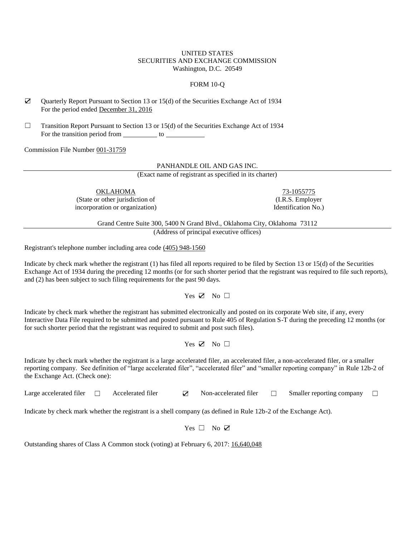## UNITED STATES SECURITIES AND EXCHANGE COMMISSION Washington, D.C. 20549

### FORM 10-Q

- ☑ Quarterly Report Pursuant to Section 13 or 15(d) of the Securities Exchange Act of 1934 For the period ended December 31, 2016
- $\Box$  Transition Report Pursuant to Section 13 or 15(d) of the Securities Exchange Act of 1934 For the transition period from \_\_\_\_\_\_\_\_\_\_ to \_

Commission File Number 001-31759

### PANHANDLE OIL AND GAS INC.

(Exact name of registrant as specified in its charter)

OKLAHOMA 73-1055775 (State or other jurisdiction of incorporation or organization)

(I.R.S. Employer Identification No.)

Grand Centre Suite 300, 5400 N Grand Blvd., Oklahoma City, Oklahoma 73112 (Address of principal executive offices)

Registrant's telephone number including area code (405) 948-1560

Indicate by check mark whether the registrant (1) has filed all reports required to be filed by Section 13 or 15(d) of the Securities Exchange Act of 1934 during the preceding 12 months (or for such shorter period that the registrant was required to file such reports), and (2) has been subject to such filing requirements for the past 90 days.

Yes  $\boxtimes$  No  $\square$ 

Indicate by check mark whether the registrant has submitted electronically and posted on its corporate Web site, if any, every Interactive Data File required to be submitted and posted pursuant to Rule 405 of Regulation S-T during the preceding 12 months (or for such shorter period that the registrant was required to submit and post such files).

Yes ☑ No □

Indicate by check mark whether the registrant is a large accelerated filer, an accelerated filer, a non-accelerated filer, or a smaller reporting company. See definition of "large accelerated filer", "accelerated filer" and "smaller reporting company" in Rule 12b-2 of the Exchange Act. (Check one):

Large accelerated filer □ Accelerated filer **☑** Non-accelerated filer □ Smaller reporting company □

Indicate by check mark whether the registrant is a shell company (as defined in Rule 12b-2 of the Exchange Act).

Yes □ No ☑

Outstanding shares of Class A Common stock (voting) at February 6, 2017: 16,640,048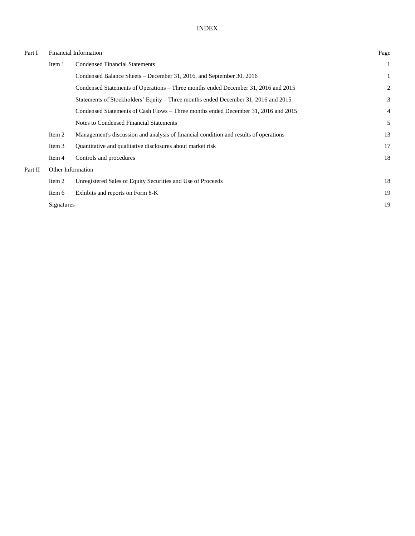# INDEX

| Part I  | <b>Financial Information</b> |                                                                                       |    |  |  |  |  |
|---------|------------------------------|---------------------------------------------------------------------------------------|----|--|--|--|--|
|         | Item 1                       | <b>Condensed Financial Statements</b>                                                 | 1  |  |  |  |  |
|         |                              | Condensed Balance Sheets – December 31, 2016, and September 30, 2016                  |    |  |  |  |  |
|         |                              | Condensed Statements of Operations – Three months ended December 31, 2016 and 2015    | 2  |  |  |  |  |
|         |                              | Statements of Stockholders' Equity - Three months ended December 31, 2016 and 2015    | 3  |  |  |  |  |
|         |                              | Condensed Statements of Cash Flows – Three months ended December 31, 2016 and 2015    | 4  |  |  |  |  |
|         |                              | Notes to Condensed Financial Statements                                               | 5  |  |  |  |  |
|         | Item 2                       | Management's discussion and analysis of financial condition and results of operations | 13 |  |  |  |  |
|         | Item 3                       | Quantitative and qualitative disclosures about market risk                            | 17 |  |  |  |  |
|         | Item 4                       | Controls and procedures                                                               | 18 |  |  |  |  |
| Part II |                              | Other Information                                                                     |    |  |  |  |  |
|         | Item 2                       | Unregistered Sales of Equity Securities and Use of Proceeds                           | 18 |  |  |  |  |
|         | Item 6                       | Exhibits and reports on Form 8-K                                                      | 19 |  |  |  |  |
|         | <b>Signatures</b>            |                                                                                       | 19 |  |  |  |  |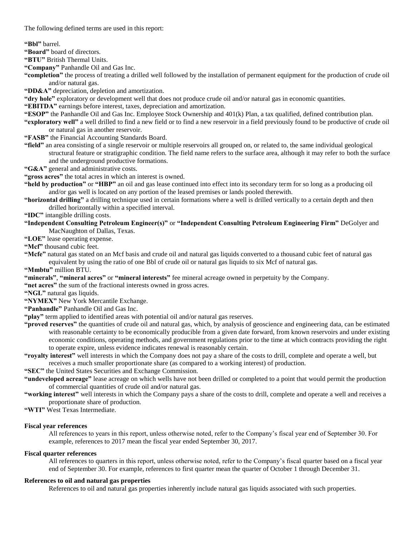The following defined terms are used in this report:

**"Bbl"** barrel.

**"Board"** board of directors.

**"BTU"** British Thermal Units.

**"Company"** Panhandle Oil and Gas Inc.

**"completion"** the process of treating a drilled well followed by the installation of permanent equipment for the production of crude oil and/or natural gas.

**"DD&A"** depreciation, depletion and amortization.

**"dry hole"** exploratory or development well that does not produce crude oil and/or natural gas in economic quantities.

**"EBITDA"** earnings before interest, taxes, depreciation and amortization.

**"ESOP"** the Panhandle Oil and Gas Inc. Employee Stock Ownership and 401(k) Plan, a tax qualified, defined contribution plan.

**"exploratory well"** a well drilled to find a new field or to find a new reservoir in a field previously found to be productive of crude oil or natural gas in another reservoir.

**"FASB"** the Financial Accounting Standards Board.

**"field"** an area consisting of a single reservoir or multiple reservoirs all grouped on, or related to, the same individual geological structural feature or stratigraphic condition. The field name refers to the surface area, although it may refer to both the surface and the underground productive formations.

**"G&A"** general and administrative costs.

**"gross acres"** the total acres in which an interest is owned.

**"held by production"** or **"HBP"** an oil and gas lease continued into effect into its secondary term for so long as a producing oil and/or gas well is located on any portion of the leased premises or lands pooled therewith.

**"horizontal drilling"** a drilling technique used in certain formations where a well is drilled vertically to a certain depth and then drilled horizontally within a specified interval.

**"IDC"** intangible drilling costs.

**"Independent Consulting Petroleum Engineer(s)"** or **"Independent Consulting Petroleum Engineering Firm"** DeGolyer and MacNaughton of Dallas, Texas.

**"LOE"** lease operating expense.

**"Mcf"** thousand cubic feet.

**"Mcfe"** natural gas stated on an Mcf basis and crude oil and natural gas liquids converted to a thousand cubic feet of natural gas equivalent by using the ratio of one Bbl of crude oil or natural gas liquids to six Mcf of natural gas.

**"Mmbtu"** million BTU.

**"minerals"**, **"mineral acres"** or **"mineral interests"** fee mineral acreage owned in perpetuity by the Company.

**"net acres"** the sum of the fractional interests owned in gross acres.

**"NGL"** natural gas liquids.

**"NYMEX"** New York Mercantile Exchange.

**"Panhandle"** Panhandle Oil and Gas Inc.

**"play"** term applied to identified areas with potential oil and/or natural gas reserves.

- **"proved reserves"** the quantities of crude oil and natural gas, which, by analysis of geoscience and engineering data, can be estimated with reasonable certainty to be economically producible from a given date forward, from known reservoirs and under existing economic conditions, operating methods, and government regulations prior to the time at which contracts providing the right to operate expire, unless evidence indicates renewal is reasonably certain.
- **"royalty interest"** well interests in which the Company does not pay a share of the costs to drill, complete and operate a well, but receives a much smaller proportionate share (as compared to a working interest) of production.

**"SEC"** the United States Securities and Exchange Commission.

- **"undeveloped acreage"** lease acreage on which wells have not been drilled or completed to a point that would permit the production of commercial quantities of crude oil and/or natural gas.
- **"working interest"** well interests in which the Company pays a share of the costs to drill, complete and operate a well and receives a proportionate share of production.

**"WTI"** West Texas Intermediate.

### **Fiscal year references**

All references to years in this report, unless otherwise noted, refer to the Company's fiscal year end of September 30. For example, references to 2017 mean the fiscal year ended September 30, 2017.

### **Fiscal quarter references**

All references to quarters in this report, unless otherwise noted, refer to the Company's fiscal quarter based on a fiscal year end of September 30. For example, references to first quarter mean the quarter of October 1 through December 31.

# **References to oil and natural gas properties**

References to oil and natural gas properties inherently include natural gas liquids associated with such properties.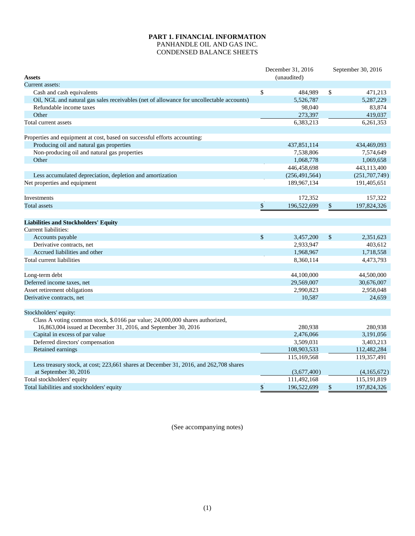# <span id="page-3-2"></span><span id="page-3-0"></span>**PART 1. FINANCIAL INFORMATION** PANHANDLE OIL AND GAS INC. CONDENSED BALANCE SHEETS

<span id="page-3-1"></span>

|                                                                                          | December 31, 2016 |      | September 30, 2016 |
|------------------------------------------------------------------------------------------|-------------------|------|--------------------|
| <b>Assets</b>                                                                            | (unaudited)       |      |                    |
| <b>Current assets:</b>                                                                   |                   |      |                    |
| Cash and cash equivalents                                                                | \$<br>484,989     | \$   | 471,213            |
| Oil, NGL and natural gas sales receivables (net of allowance for uncollectable accounts) | 5,526,787         |      | 5,287,229          |
| Refundable income taxes                                                                  | 98,040            |      | 83,874             |
| Other                                                                                    | 273,397           |      | 419,037            |
| Total current assets                                                                     | 6,383,213         |      | 6,261,353          |
| Properties and equipment at cost, based on successful efforts accounting:                |                   |      |                    |
| Producing oil and natural gas properties                                                 | 437,851,114       |      | 434,469,093        |
| Non-producing oil and natural gas properties                                             | 7,538,806         |      | 7,574,649          |
| Other                                                                                    | 1,068,778         |      | 1,069,658          |
|                                                                                          | 446,458,698       |      | 443,113,400        |
| Less accumulated depreciation, depletion and amortization                                | (256, 491, 564)   |      | (251, 707, 749)    |
| Net properties and equipment                                                             | 189,967,134       |      | 191,405,651        |
| Investments                                                                              | 172,352           |      | 157,322            |
| Total assets                                                                             | \$<br>196,522,699 | $\$$ | 197,824,326        |
|                                                                                          |                   |      |                    |
| <b>Liabilities and Stockholders' Equity</b>                                              |                   |      |                    |
| Current liabilities:                                                                     |                   |      |                    |
| Accounts payable                                                                         | \$<br>3,457,200   | \$   | 2,351,623          |
| Derivative contracts, net                                                                | 2,933,947         |      | 403,612            |
| Accrued liabilities and other                                                            | 1,968,967         |      | 1,718,558          |
| Total current liabilities                                                                | 8,360,114         |      | 4,473,793          |
| Long-term debt                                                                           | 44,100,000        |      | 44,500,000         |
| Deferred income taxes, net                                                               | 29,569,007        |      | 30,676,007         |
| Asset retirement obligations                                                             | 2,990,823         |      | 2,958,048          |
| Derivative contracts, net                                                                | 10,587            |      | 24,659             |
| Stockholders' equity:                                                                    |                   |      |                    |
| Class A voting common stock, \$.0166 par value; 24,000,000 shares authorized,            |                   |      |                    |
| 16,863,004 issued at December 31, 2016, and September 30, 2016                           | 280,938           |      | 280,938            |
| Capital in excess of par value                                                           | 2,476,066         |      | 3,191,056          |
| Deferred directors' compensation                                                         | 3,509,031         |      | 3,403,213          |
| Retained earnings                                                                        | 108,903,533       |      | 112,482,284        |
|                                                                                          | 115,169,568       |      | 119,357,491        |
| Less treasury stock, at cost; 223,661 shares at December 31, 2016, and 262,708 shares    |                   |      |                    |
| at September 30, 2016                                                                    | (3,677,400)       |      | (4,165,672)        |
| Total stockholders' equity                                                               | 111,492,168       |      | 115,191,819        |
| Total liabilities and stockholders' equity                                               | \$<br>196,522,699 | \$   | 197,824,326        |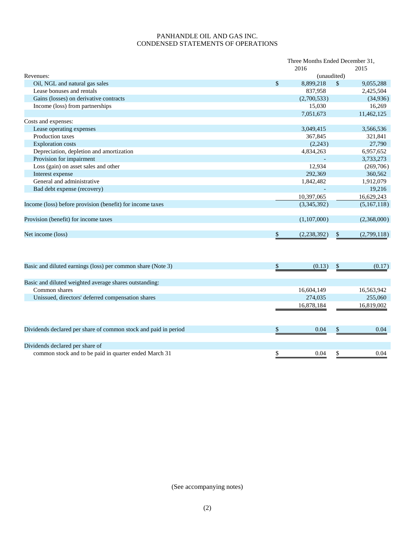# <span id="page-4-0"></span>PANHANDLE OIL AND GAS INC. CONDENSED STATEMENTS OF OPERATIONS

|                                                                 |               | Three Months Ended December 31, |    |             |
|-----------------------------------------------------------------|---------------|---------------------------------|----|-------------|
|                                                                 |               | 2016                            |    | 2015        |
| Revenues:                                                       |               | (unaudited)                     |    |             |
| Oil, NGL and natural gas sales                                  | $\frac{1}{2}$ | 8,899,218                       | \$ | 9,055,288   |
| Lease bonuses and rentals                                       |               | 837,958                         |    | 2,425,504   |
| Gains (losses) on derivative contracts                          |               | (2,700,533)                     |    | (34,936)    |
| Income (loss) from partnerships                                 |               | 15,030                          |    | 16,269      |
|                                                                 |               | 7,051,673                       |    | 11,462,125  |
| Costs and expenses:                                             |               |                                 |    |             |
| Lease operating expenses                                        |               | 3,049,415                       |    | 3,566,536   |
| Production taxes                                                |               | 367,845                         |    | 321,841     |
| <b>Exploration</b> costs                                        |               | (2,243)                         |    | 27,790      |
| Depreciation, depletion and amortization                        |               | 4,834,263                       |    | 6,957,652   |
| Provision for impairment                                        |               |                                 |    | 3,733,273   |
| Loss (gain) on asset sales and other                            |               | 12,934                          |    | (269,706)   |
| Interest expense                                                |               | 292,369                         |    | 360,562     |
| General and administrative                                      |               | 1,842,482                       |    | 1,912,079   |
| Bad debt expense (recovery)                                     |               |                                 |    | 19,216      |
|                                                                 |               | 10,397,065                      |    | 16,629,243  |
| Income (loss) before provision (benefit) for income taxes       |               | (3,345,392)                     |    | (5,167,118) |
| Provision (benefit) for income taxes                            |               | (1,107,000)                     |    | (2,368,000) |
| Net income (loss)                                               | \$            | (2,238,392)                     | \$ | (2,799,118) |
|                                                                 |               |                                 |    |             |
| Basic and diluted earnings (loss) per common share (Note 3)     | \$            | (0.13)                          | \$ | (0.17)      |
| Basic and diluted weighted average shares outstanding:          |               |                                 |    |             |
| Common shares                                                   |               | 16,604,149                      |    | 16,563,942  |
| Unissued, directors' deferred compensation shares               |               | 274,035                         |    | 255,060     |
|                                                                 |               | 16,878,184                      |    | 16,819,002  |
| Dividends declared per share of common stock and paid in period | \$            | 0.04                            | \$ | 0.04        |
| Dividends declared per share of                                 |               |                                 |    |             |
| common stock and to be paid in quarter ended March 31           | \$            | 0.04                            | \$ | 0.04        |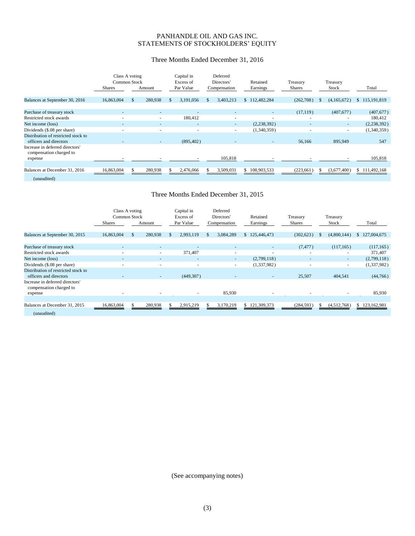# PANHANDLE OIL AND GAS INC. STATEMENTS OF STOCKHOLDERS' EQUITY

# <span id="page-5-0"></span>Three Months Ended December 31, 2016

|                                                                       | Class A voting<br>Common Stock<br><b>Shares</b> | Amount        | Capital in<br>Excess of<br>Par Value | Deferred<br>Directors'<br>Compensation | Retained<br>Earnings | Treasury<br><b>Shares</b> |     | Treasury<br>Stock        |    | Total         |
|-----------------------------------------------------------------------|-------------------------------------------------|---------------|--------------------------------------|----------------------------------------|----------------------|---------------------------|-----|--------------------------|----|---------------|
| Balances at September 30, 2016                                        | 16,863,004                                      | \$<br>280.938 | 3.191.056                            | 3,403,213                              | \$<br>112,482,284    | (262,708)                 | \$. | (4,165,672)              | S. | 115, 191, 819 |
|                                                                       |                                                 |               |                                      |                                        |                      |                           |     |                          |    |               |
| Purchase of treasury stock                                            | ۰.                                              | $\sim$        |                                      | $\overline{\phantom{a}}$               | $\sim$               | (17, 119)                 |     | (407,677)                |    | (407,677)     |
| Restricted stock awards                                               | $\overline{\phantom{a}}$                        | $\sim$        | 180,412                              | $\overline{\phantom{a}}$               |                      | $\overline{a}$            |     | $\overline{a}$           |    | 180,412       |
| Net income (loss)                                                     | $\sim$                                          |               | $\overline{\phantom{a}}$             | $\sim$                                 | (2,238,392)          |                           |     | $\overline{\phantom{a}}$ |    | (2, 238, 392) |
| Dividends (\$.08 per share)                                           |                                                 |               |                                      | $\overline{\phantom{a}}$               | (1,340,359)          | $\overline{\phantom{a}}$  |     | $\sim$                   |    | (1,340,359)   |
| Distribution of restricted stock to<br>officers and directors         |                                                 |               | (895, 402)                           |                                        |                      | 56,166                    |     | 895,949                  |    | 547           |
| Increase in deferred directors'<br>compensation charged to<br>expense |                                                 |               |                                      | 105,818                                |                      | $\overline{\phantom{a}}$  |     |                          |    | 105,818       |
|                                                                       |                                                 |               |                                      |                                        |                      |                           |     |                          |    |               |
| Balances at December 31, 2016                                         | 16,863,004                                      | 280,938       | \$<br>2,476,066                      | 3,509,031                              | \$108,903,533        | (223, 661)                | \$  | (3,677,400)              |    | \$111,492,168 |
| (unaudited)                                                           |                                                 |               |                                      |                                        |                      |                           |     |                          |    |               |

# Three Months Ended December 31, 2015

|                                                               | <b>Shares</b> | Class A voting<br>Common Stock<br>Amount |         | Capital in<br>Deferred<br>Excess of<br>Directors'<br>Par Value<br>Compensation |  | Retained<br>Earnings     |              | Treasury<br><b>Shares</b> | Treasury<br>Stock        |    | Total       |               |             |
|---------------------------------------------------------------|---------------|------------------------------------------|---------|--------------------------------------------------------------------------------|--|--------------------------|--------------|---------------------------|--------------------------|----|-------------|---------------|-------------|
| Balances at September 30, 2015                                | 16,863,004    | S.                                       | 280,938 | 2.993.119                                                                      |  | 3,084,289                | $\mathbf{s}$ | 125,446,473               | (302, 623)               |    | (4,800,144) |               | 127,004,675 |
|                                                               |               |                                          |         |                                                                                |  |                          |              |                           |                          |    |             |               |             |
| Purchase of treasury stock                                    |               |                                          |         |                                                                                |  |                          |              |                           | (7, 477)                 |    | (117, 165)  |               | (117, 165)  |
| Restricted stock awards                                       |               |                                          | ۰       | 371,407                                                                        |  | $\overline{\phantom{a}}$ |              |                           | $\overline{\phantom{a}}$ |    |             |               | 371,407     |
| Net income (loss)                                             | $\sim$        |                                          | ۰.      | $\overline{\phantom{a}}$                                                       |  | $\sim$                   |              | (2,799,118)               | $\overline{\phantom{a}}$ |    | $\sim$      |               | (2,799,118) |
| Dividends (\$.08 per share)                                   |               |                                          |         | $\overline{a}$                                                                 |  | $\overline{\phantom{a}}$ |              | (1,337,982)               | ٠                        |    | $\sim$      |               | (1,337,982) |
| Distribution of restricted stock to<br>officers and directors |               |                                          | ٠       | (449, 307)                                                                     |  |                          |              |                           | 25,507                   |    | 404.541     |               | (44,766)    |
| Increase in deferred directors'<br>compensation charged to    |               |                                          |         |                                                                                |  |                          |              |                           |                          |    |             |               |             |
| expense                                                       |               |                                          |         |                                                                                |  | 85,930                   |              |                           |                          |    |             |               | 85,930      |
|                                                               |               |                                          |         |                                                                                |  |                          |              |                           |                          |    |             |               |             |
| Balances at December 31, 2015                                 | 16,863,004    |                                          | 280,938 | 2,915,219                                                                      |  | 3,170,219                | \$.          | 121,309,373               | (284, 593)               | \$ | (4,512,768) | \$123,162,981 |             |
| (unaudited)                                                   |               |                                          |         |                                                                                |  |                          |              |                           |                          |    |             |               |             |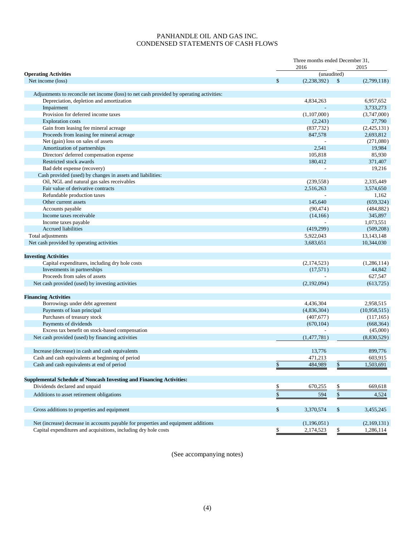# <span id="page-6-0"></span>PANHANDLE OIL AND GAS INC. CONDENSED STATEMENTS OF CASH FLOWS

|                                                                                                              |               | Three months ended December 31. |              |              |
|--------------------------------------------------------------------------------------------------------------|---------------|---------------------------------|--------------|--------------|
|                                                                                                              |               | 2016                            |              | 2015         |
| <b>Operating Activities</b>                                                                                  |               | (unaudited)                     |              |              |
| Net income (loss)                                                                                            | \$            | (2,238,392)                     | \$           | (2,799,118)  |
|                                                                                                              |               |                                 |              |              |
| Adjustments to reconcile net income (loss) to net cash provided by operating activities:                     |               |                                 |              |              |
| Depreciation, depletion and amortization                                                                     |               | 4,834,263                       |              | 6,957,652    |
| Impairment                                                                                                   |               |                                 |              | 3,733,273    |
| Provision for deferred income taxes                                                                          |               | (1,107,000)                     |              | (3,747,000)  |
| <b>Exploration costs</b>                                                                                     |               | (2,243)                         |              | 27,790       |
| Gain from leasing fee mineral acreage                                                                        |               | (837,732)                       |              | (2,425,131)  |
| Proceeds from leasing fee mineral acreage                                                                    |               | 847,578                         |              | 2,693,812    |
| Net (gain) loss on sales of assets                                                                           |               |                                 |              | (271,080)    |
| Amortization of partnerships                                                                                 |               | 2,541                           |              | 19,984       |
| Directors' deferred compensation expense                                                                     |               | 105,818                         |              | 85,930       |
| Restricted stock awards                                                                                      |               | 180,412                         |              | 371,407      |
| Bad debt expense (recovery)                                                                                  |               |                                 |              | 19,216       |
| Cash provided (used) by changes in assets and liabilities:                                                   |               |                                 |              |              |
| Oil, NGL and natural gas sales receivables                                                                   |               | (239, 558)                      |              | 2,335,449    |
| Fair value of derivative contracts                                                                           |               | 2,516,263                       |              | 3,574,650    |
| Refundable production taxes                                                                                  |               |                                 |              | 1,162        |
| Other current assets                                                                                         |               | 145,640                         |              | (659, 324)   |
| Accounts payable                                                                                             |               | (90, 474)                       |              | (484, 882)   |
| Income taxes receivable                                                                                      |               | (14, 166)                       |              | 345,897      |
| Income taxes payable                                                                                         |               |                                 |              | 1,073,551    |
| <b>Accrued liabilities</b>                                                                                   |               | (419,299)                       |              | (509, 208)   |
| Total adjustments                                                                                            |               | 5,922,043                       |              | 13, 143, 148 |
| Net cash provided by operating activities                                                                    |               | 3,683,651                       |              | 10,344,030   |
| <b>Investing Activities</b>                                                                                  |               |                                 |              |              |
| Capital expenditures, including dry hole costs                                                               |               | (2,174,523)                     |              | (1,286,114)  |
| Investments in partnerships                                                                                  |               | (17,571)                        |              | 44,842       |
| Proceeds from sales of assets                                                                                |               |                                 |              | 627,547      |
| Net cash provided (used) by investing activities                                                             |               | (2,192,094)                     |              | (613, 725)   |
|                                                                                                              |               |                                 |              |              |
| <b>Financing Activities</b>                                                                                  |               |                                 |              |              |
| Borrowings under debt agreement                                                                              |               | 4,436,304                       |              | 2,958,515    |
| Payments of loan principal                                                                                   |               | (4,836,304)                     |              | (10,958,515) |
| Purchases of treasury stock                                                                                  |               | (407,677)                       |              | (117, 165)   |
| Payments of dividends                                                                                        |               | (670, 104)                      |              | (668, 364)   |
| Excess tax benefit on stock-based compensation                                                               |               |                                 |              | (45,000)     |
| Net cash provided (used) by financing activities                                                             |               | (1,477,781)                     |              | (8,830,529)  |
| Increase (decrease) in cash and cash equivalents                                                             |               | 13,776                          |              | 899,776      |
| Cash and cash equivalents at beginning of period                                                             |               | 471,213                         |              | 603,915      |
| Cash and cash equivalents at end of period                                                                   | $\$$          | 484,989                         | \$           | 1,503,691    |
|                                                                                                              |               |                                 |              |              |
| <b>Supplemental Schedule of Noncash Investing and Financing Activities:</b><br>Dividends declared and unpaid | $\frac{1}{2}$ | 670,255                         | \$           | 669,618      |
| Additions to asset retirement obligations                                                                    | $\$$          | 594                             | $\mathbb{S}$ | 4,524        |
|                                                                                                              |               |                                 |              |              |
| Gross additions to properties and equipment                                                                  | \$            | 3,370,574                       | $\$$         | 3,455,245    |
| Net (increase) decrease in accounts payable for properties and equipment additions                           |               | (1,196,051)                     |              | (2,169,131)  |
| Capital expenditures and acquisitions, including dry hole costs                                              | \$            | 2,174,523                       | $\mathbb{S}$ | 1,286,114    |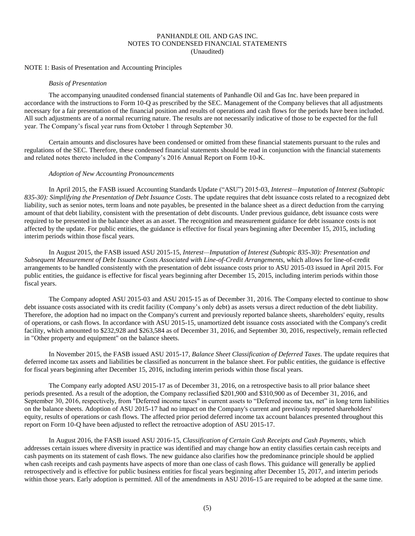### <span id="page-7-0"></span>PANHANDLE OIL AND GAS INC. NOTES TO CONDENSED FINANCIAL STATEMENTS (Unaudited)

NOTE 1: Basis of Presentation and Accounting Principles

#### *Basis of Presentation*

The accompanying unaudited condensed financial statements of Panhandle Oil and Gas Inc. have been prepared in accordance with the instructions to Form 10-Q as prescribed by the SEC. Management of the Company believes that all adjustments necessary for a fair presentation of the financial position and results of operations and cash flows for the periods have been included. All such adjustments are of a normal recurring nature. The results are not necessarily indicative of those to be expected for the full year. The Company's fiscal year runs from October 1 through September 30.

Certain amounts and disclosures have been condensed or omitted from these financial statements pursuant to the rules and regulations of the SEC. Therefore, these condensed financial statements should be read in conjunction with the financial statements and related notes thereto included in the Company's 2016 Annual Report on Form 10-K.

#### *Adoption of New Accounting Pronouncements*

In April 2015, the FASB issued Accounting Standards Update ("ASU") 2015-03, *Interest—Imputation of Interest (Subtopic 835-30): Simplifying the Presentation of Debt Issuance Costs*. The update requires that debt issuance costs related to a recognized debt liability, such as senior notes, term loans and note payables, be presented in the balance sheet as a direct deduction from the carrying amount of that debt liability, consistent with the presentation of debt discounts. Under previous guidance, debt issuance costs were required to be presented in the balance sheet as an asset. The recognition and measurement guidance for debt issuance costs is not affected by the update. For public entities, the guidance is effective for fiscal years beginning after December 15, 2015, including interim periods within those fiscal years.

In August 2015, the FASB issued ASU 2015-15, *Interest—Imputation of Interest (Subtopic 835-30): Presentation and Subsequent Measurement of Debt Issuance Costs Associated with Line-of-Credit Arrangements*, which allows for line-of-credit arrangements to be handled consistently with the presentation of debt issuance costs prior to ASU 2015-03 issued in April 2015. For public entities, the guidance is effective for fiscal years beginning after December 15, 2015, including interim periods within those fiscal years.

The Company adopted ASU 2015-03 and ASU 2015-15 as of December 31, 2016. The Company elected to continue to show debt issuance costs associated with its credit facility (Company's only debt) as assets versus a direct reduction of the debt liability. Therefore, the adoption had no impact on the Company's current and previously reported balance sheets, shareholders' equity, results of operations, or cash flows. In accordance with ASU 2015-15, unamortized debt issuance costs associated with the Company's credit facility, which amounted to \$232,928 and \$263,584 as of December 31, 2016, and September 30, 2016, respectively, remain reflected in "Other property and equipment" on the balance sheets.

In November 2015, the FASB issued ASU 2015-17, *Balance Sheet Classification of Deferred Taxes*. The update requires that deferred income tax assets and liabilities be classified as noncurrent in the balance sheet. For public entities, the guidance is effective for fiscal years beginning after December 15, 2016, including interim periods within those fiscal years.

The Company early adopted ASU 2015-17 as of December 31, 2016, on a retrospective basis to all prior balance sheet periods presented. As a result of the adoption, the Company reclassified \$201,900 and \$310,900 as of December 31, 2016, and September 30, 2016, respectively, from "Deferred income taxes" in current assets to "Deferred income tax, net" in long term liabilities on the balance sheets. Adoption of ASU 2015-17 had no impact on the Company's current and previously reported shareholders' equity, results of operations or cash flows. The affected prior period deferred income tax account balances presented throughout this report on Form 10-Q have been adjusted to reflect the retroactive adoption of ASU 2015-17.

In August 2016, the FASB issued ASU 2016-15, *Classification of Certain Cash Receipts and Cash Payments*, which addresses certain issues where diversity in practice was identified and may change how an entity classifies certain cash receipts and cash payments on its statement of cash flows. The new guidance also clarifies how the predominance principle should be applied when cash receipts and cash payments have aspects of more than one class of cash flows. This guidance will generally be applied retrospectively and is effective for public business entities for fiscal years beginning after December 15, 2017, and interim periods within those years. Early adoption is permitted. All of the amendments in ASU 2016-15 are required to be adopted at the same time.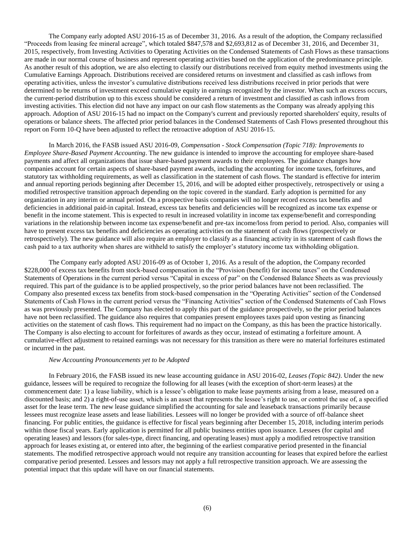The Company early adopted ASU 2016-15 as of December 31, 2016. As a result of the adoption, the Company reclassified "Proceeds from leasing fee mineral acreage", which totaled \$847,578 and \$2,693,812 as of December 31, 2016, and December 31, 2015, respectively, from Investing Activities to Operating Activities on the Condensed Statements of Cash Flows as these transactions are made in our normal course of business and represent operating activities based on the application of the predominance principle. As another result of this adoption, we are also electing to classify our distributions received from equity method investments using the Cumulative Earnings Approach. Distributions received are considered returns on investment and classified as cash inflows from operating activities, unless the investor's cumulative distributions received less distributions received in prior periods that were determined to be returns of investment exceed cumulative equity in earnings recognized by the investor. When such an excess occurs, the current-period distribution up to this excess should be considered a return of investment and classified as cash inflows from investing activities. This election did not have any impact on our cash flow statements as the Company was already applying this approach. Adoption of ASU 2016-15 had no impact on the Company's current and previously reported shareholders' equity, results of operations or balance sheets. The affected prior period balances in the Condensed Statements of Cash Flows presented throughout this report on Form 10-Q have been adjusted to reflect the retroactive adoption of ASU 2016-15.

In March 2016, the FASB issued ASU 2016-09, *Compensation - Stock Compensation (Topic 718): Improvements to Employee Share-Based Payment Accounting*. The new guidance is intended to improve the accounting for employee share-based payments and affect all organizations that issue share-based payment awards to their employees. The guidance changes how companies account for certain aspects of share-based payment awards, including the accounting for income taxes, forfeitures, and statutory tax withholding requirements, as well as classification in the statement of cash flows. The standard is effective for interim and annual reporting periods beginning after December 15, 2016, and will be adopted either prospectively, retrospectively or using a modified retrospective transition approach depending on the topic covered in the standard. Early adoption is permitted for any organization in any interim or annual period. On a prospective basis companies will no longer record excess tax benefits and deficiencies in additional paid-in capital. Instead, excess tax benefits and deficiencies will be recognized as income tax expense or benefit in the income statement. This is expected to result in increased volatility in income tax expense/benefit and corresponding variations in the relationship between income tax expense/benefit and pre-tax income/loss from period to period. Also, companies will have to present excess tax benefits and deficiencies as operating activities on the statement of cash flows (prospectively or retrospectively). The new guidance will also require an employer to classify as a financing activity in its statement of cash flows the cash paid to a tax authority when shares are withheld to satisfy the employer's statutory income tax withholding obligation.

The Company early adopted ASU 2016-09 as of October 1, 2016. As a result of the adoption, the Company recorded \$228,000 of excess tax benefits from stock-based compensation in the "Provision (benefit) for income taxes" on the Condensed Statements of Operations in the current period versus "Capital in excess of par" on the Condensed Balance Sheets as was previously required. This part of the guidance is to be applied prospectively, so the prior period balances have not been reclassified. The Company also presented excess tax benefits from stock-based compensation in the "Operating Activities" section of the Condensed Statements of Cash Flows in the current period versus the "Financing Activities" section of the Condensed Statements of Cash Flows as was previously presented. The Company has elected to apply this part of the guidance prospectively, so the prior period balances have not been reclassified. The guidance also requires that companies present employees taxes paid upon vesting as financing activities on the statement of cash flows. This requirement had no impact on the Company, as this has been the practice historically. The Company is also electing to account for forfeitures of awards as they occur, instead of estimating a forfeiture amount. A cumulative-effect adjustment to retained earnings was not necessary for this transition as there were no material forfeitures estimated or incurred in the past.

### *New Accounting Pronouncements yet to be Adopted*

In February 2016, the FASB issued its new lease accounting guidance in ASU 2016-02, *Leases (Topic 842)*. Under the new guidance, lessees will be required to recognize the following for all leases (with the exception of short-term leases) at the commencement date: 1) a lease liability, which is a lessee's obligation to make lease payments arising from a lease, measured on a discounted basis; and 2) a right-of-use asset, which is an asset that represents the lessee's right to use, or control the use of, a specified asset for the lease term. The new lease guidance simplified the accounting for sale and leaseback transactions primarily because lessees must recognize lease assets and lease liabilities. Lessees will no longer be provided with a source of off-balance sheet financing. For public entities, the guidance is effective for fiscal years beginning after December 15, 2018, including interim periods within those fiscal years. Early application is permitted for all public business entities upon issuance. Lessees (for capital and operating leases) and lessors (for sales-type, direct financing, and operating leases) must apply a modified retrospective transition approach for leases existing at, or entered into after, the beginning of the earliest comparative period presented in the financial statements. The modified retrospective approach would not require any transition accounting for leases that expired before the earliest comparative period presented. Lessees and lessors may not apply a full retrospective transition approach. We are assessing the potential impact that this update will have on our financial statements.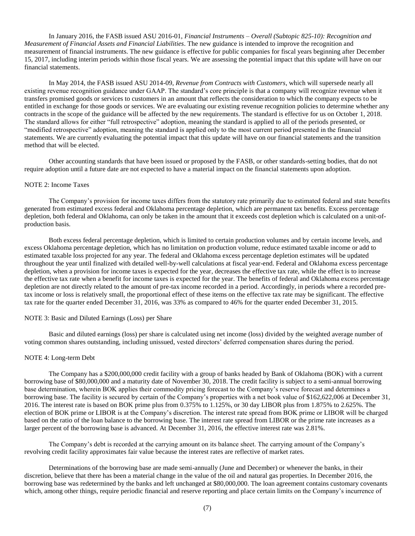In January 2016, the FASB issued ASU 2016-01, *Financial Instruments – Overall (Subtopic 825-10): Recognition and Measurement of Financial Assets and Financial Liabilities*. The new guidance is intended to improve the recognition and measurement of financial instruments. The new guidance is effective for public companies for fiscal years beginning after December 15, 2017, including interim periods within those fiscal years. We are assessing the potential impact that this update will have on our financial statements.

In May 2014, the FASB issued ASU 2014-09, *Revenue from Contracts with Customers*, which will supersede nearly all existing revenue recognition guidance under GAAP. The standard's core principle is that a company will recognize revenue when it transfers promised goods or services to customers in an amount that reflects the consideration to which the company expects to be entitled in exchange for those goods or services. We are evaluating our existing revenue recognition policies to determine whether any contracts in the scope of the guidance will be affected by the new requirements. The standard is effective for us on October 1, 2018. The standard allows for either "full retrospective" adoption, meaning the standard is applied to all of the periods presented, or "modified retrospective" adoption, meaning the standard is applied only to the most current period presented in the financial statements. We are currently evaluating the potential impact that this update will have on our financial statements and the transition method that will be elected.

Other accounting standards that have been issued or proposed by the FASB, or other standards-setting bodies, that do not require adoption until a future date are not expected to have a material impact on the financial statements upon adoption.

#### NOTE 2: Income Taxes

The Company's provision for income taxes differs from the statutory rate primarily due to estimated federal and state benefits generated from estimated excess federal and Oklahoma percentage depletion, which are permanent tax benefits. Excess percentage depletion, both federal and Oklahoma, can only be taken in the amount that it exceeds cost depletion which is calculated on a unit-ofproduction basis.

Both excess federal percentage depletion, which is limited to certain production volumes and by certain income levels, and excess Oklahoma percentage depletion, which has no limitation on production volume, reduce estimated taxable income or add to estimated taxable loss projected for any year. The federal and Oklahoma excess percentage depletion estimates will be updated throughout the year until finalized with detailed well-by-well calculations at fiscal year-end. Federal and Oklahoma excess percentage depletion, when a provision for income taxes is expected for the year, decreases the effective tax rate, while the effect is to increase the effective tax rate when a benefit for income taxes is expected for the year. The benefits of federal and Oklahoma excess percentage depletion are not directly related to the amount of pre-tax income recorded in a period. Accordingly, in periods where a recorded pretax income or loss is relatively small, the proportional effect of these items on the effective tax rate may be significant. The effective tax rate for the quarter ended December 31, 2016, was 33% as compared to 46% for the quarter ended December 31, 2015.

#### NOTE 3: Basic and Diluted Earnings (Loss) per Share

Basic and diluted earnings (loss) per share is calculated using net income (loss) divided by the weighted average number of voting common shares outstanding, including unissued, vested directors' deferred compensation shares during the period.

#### NOTE 4: Long-term Debt

The Company has a \$200,000,000 credit facility with a group of banks headed by Bank of Oklahoma (BOK) with a current borrowing base of \$80,000,000 and a maturity date of November 30, 2018. The credit facility is subject to a semi-annual borrowing base determination, wherein BOK applies their commodity pricing forecast to the Company's reserve forecast and determines a borrowing base. The facility is secured by certain of the Company's properties with a net book value of \$162,622,006 at December 31, 2016. The interest rate is based on BOK prime plus from 0.375% to 1.125%, or 30 day LIBOR plus from 1.875% to 2.625%. The election of BOK prime or LIBOR is at the Company's discretion. The interest rate spread from BOK prime or LIBOR will be charged based on the ratio of the loan balance to the borrowing base. The interest rate spread from LIBOR or the prime rate increases as a larger percent of the borrowing base is advanced. At December 31, 2016, the effective interest rate was 2.81%.

The Company's debt is recorded at the carrying amount on its balance sheet. The carrying amount of the Company's revolving credit facility approximates fair value because the interest rates are reflective of market rates.

Determinations of the borrowing base are made semi-annually (June and December) or whenever the banks, in their discretion, believe that there has been a material change in the value of the oil and natural gas properties. In December 2016, the borrowing base was redetermined by the banks and left unchanged at \$80,000,000. The loan agreement contains customary covenants which, among other things, require periodic financial and reserve reporting and place certain limits on the Company's incurrence of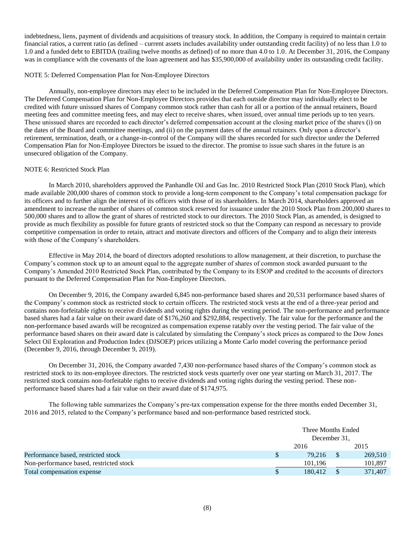indebtedness, liens, payment of dividends and acquisitions of treasury stock. In addition, the Company is required to maintain certain financial ratios, a current ratio (as defined – current assets includes availability under outstanding credit facility) of no less than 1.0 to 1.0 and a funded debt to EBITDA (trailing twelve months as defined) of no more than 4.0 to 1.0. At December 31, 2016, the Company was in compliance with the covenants of the loan agreement and has \$35,900,000 of availability under its outstanding credit facility.

### NOTE 5: Deferred Compensation Plan for Non-Employee Directors

Annually, non-employee directors may elect to be included in the Deferred Compensation Plan for Non-Employee Directors. The Deferred Compensation Plan for Non-Employee Directors provides that each outside director may individually elect to be credited with future unissued shares of Company common stock rather than cash for all or a portion of the annual retainers, Board meeting fees and committee meeting fees, and may elect to receive shares, when issued, over annual time periods up to ten years. These unissued shares are recorded to each director's deferred compensation account at the closing market price of the shares (i) on the dates of the Board and committee meetings, and (ii) on the payment dates of the annual retainers. Only upon a director's retirement, termination, death, or a change-in-control of the Company will the shares recorded for such director under the Deferred Compensation Plan for Non-Employee Directors be issued to the director. The promise to issue such shares in the future is an unsecured obligation of the Company.

#### NOTE 6: Restricted Stock Plan

In March 2010, shareholders approved the Panhandle Oil and Gas Inc. 2010 Restricted Stock Plan (2010 Stock Plan), which made available 200,000 shares of common stock to provide a long-term component to the Company's total compensation package for its officers and to further align the interest of its officers with those of its shareholders. In March 2014, shareholders approved an amendment to increase the number of shares of common stock reserved for issuance under the 2010 Stock Plan from 200,000 shares to 500,000 shares and to allow the grant of shares of restricted stock to our directors. The 2010 Stock Plan, as amended, is designed to provide as much flexibility as possible for future grants of restricted stock so that the Company can respond as necessary to provide competitive compensation in order to retain, attract and motivate directors and officers of the Company and to align their interests with those of the Company's shareholders.

Effective in May 2014, the board of directors adopted resolutions to allow management, at their discretion, to purchase the Company's common stock up to an amount equal to the aggregate number of shares of common stock awarded pursuant to the Company's Amended 2010 Restricted Stock Plan, contributed by the Company to its ESOP and credited to the accounts of directors pursuant to the Deferred Compensation Plan for Non-Employee Directors.

On December 9, 2016, the Company awarded 6,845 non-performance based shares and 20,531 performance based shares of the Company's common stock as restricted stock to certain officers. The restricted stock vests at the end of a three-year period and contains non-forfeitable rights to receive dividends and voting rights during the vesting period. The non-performance and performance based shares had a fair value on their award date of \$176,260 and \$292,884, respectively. The fair value for the performance and the non-performance based awards will be recognized as compensation expense ratably over the vesting period. The fair value of the performance based shares on their award date is calculated by simulating the Company's stock prices as compared to the Dow Jones Select Oil Exploration and Production Index (DJSOEP) prices utilizing a Monte Carlo model covering the performance period (December 9, 2016, through December 9, 2019).

On December 31, 2016, the Company awarded 7,430 non-performance based shares of the Company's common stock as restricted stock to its non-employee directors. The restricted stock vests quarterly over one year starting on March 31, 2017. The restricted stock contains non-forfeitable rights to receive dividends and voting rights during the vesting period. These nonperformance based shares had a fair value on their award date of \$174,975.

The following table summarizes the Company's pre-tax compensation expense for the three months ended December 31, 2016 and 2015, related to the Company's performance based and non-performance based restricted stock.

|                                         | Three Months Ended<br>December 31. |         |
|-----------------------------------------|------------------------------------|---------|
|                                         | 2016                               | 2015    |
| Performance based, restricted stock     | 79.216                             | 269,510 |
| Non-performance based, restricted stock | 101.196                            | 101,897 |
| Total compensation expense              | 180,412                            | 371,407 |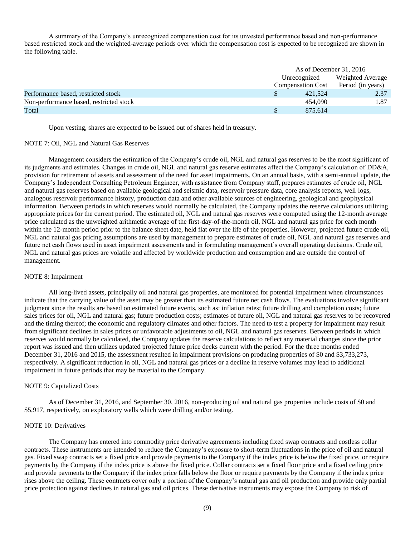A summary of the Company's unrecognized compensation cost for its unvested performance based and non-performance based restricted stock and the weighted-average periods over which the compensation cost is expected to be recognized are shown in the following table.

|                                         | As of December 31, 2016  |                   |  |  |  |
|-----------------------------------------|--------------------------|-------------------|--|--|--|
|                                         | Unrecognized             | Weighted Average  |  |  |  |
|                                         | <b>Compensation Cost</b> | Period (in years) |  |  |  |
| Performance based, restricted stock     | 421,524                  | 2.37              |  |  |  |
| Non-performance based, restricted stock | 454,090                  | 1.87              |  |  |  |
| Total                                   | 875,614                  |                   |  |  |  |

Upon vesting, shares are expected to be issued out of shares held in treasury.

#### NOTE 7: Oil, NGL and Natural Gas Reserves

Management considers the estimation of the Company's crude oil, NGL and natural gas reserves to be the most significant of its judgments and estimates. Changes in crude oil, NGL and natural gas reserve estimates affect the Company's calculation of DD&A, provision for retirement of assets and assessment of the need for asset impairments. On an annual basis, with a semi-annual update, the Company's Independent Consulting Petroleum Engineer, with assistance from Company staff, prepares estimates of crude oil, NGL and natural gas reserves based on available geological and seismic data, reservoir pressure data, core analysis reports, well logs, analogous reservoir performance history, production data and other available sources of engineering, geological and geophysical information. Between periods in which reserves would normally be calculated, the Company updates the reserve calculations utilizing appropriate prices for the current period. The estimated oil, NGL and natural gas reserves were computed using the 12-month average price calculated as the unweighted arithmetic average of the first-day-of-the-month oil, NGL and natural gas price for each month within the 12-month period prior to the balance sheet date, held flat over the life of the properties. However, projected future crude oil, NGL and natural gas pricing assumptions are used by management to prepare estimates of crude oil, NGL and natural gas reserves and future net cash flows used in asset impairment assessments and in formulating management's overall operating decisions. Crude oil, NGL and natural gas prices are volatile and affected by worldwide production and consumption and are outside the control of management.

#### NOTE 8: Impairment

All long-lived assets, principally oil and natural gas properties, are monitored for potential impairment when circumstances indicate that the carrying value of the asset may be greater than its estimated future net cash flows. The evaluations involve significant judgment since the results are based on estimated future events, such as: inflation rates; future drilling and completion costs; future sales prices for oil, NGL and natural gas; future production costs; estimates of future oil, NGL and natural gas reserves to be recovered and the timing thereof; the economic and regulatory climates and other factors. The need to test a property for impairment may result from significant declines in sales prices or unfavorable adjustments to oil, NGL and natural gas reserves. Between periods in which reserves would normally be calculated, the Company updates the reserve calculations to reflect any material changes since the prior report was issued and then utilizes updated projected future price decks current with the period. For the three months ended December 31, 2016 and 2015, the assessment resulted in impairment provisions on producing properties of \$0 and \$3,733,273, respectively. A significant reduction in oil, NGL and natural gas prices or a decline in reserve volumes may lead to additional impairment in future periods that may be material to the Company.

#### NOTE 9: Capitalized Costs

As of December 31, 2016, and September 30, 2016, non-producing oil and natural gas properties include costs of \$0 and \$5,917, respectively, on exploratory wells which were drilling and/or testing.

#### NOTE 10: Derivatives

The Company has entered into commodity price derivative agreements including fixed swap contracts and costless collar contracts. These instruments are intended to reduce the Company's exposure to short-term fluctuations in the price of oil and natural gas. Fixed swap contracts set a fixed price and provide payments to the Company if the index price is below the fixed price, or require payments by the Company if the index price is above the fixed price. Collar contracts set a fixed floor price and a fixed ceiling price and provide payments to the Company if the index price falls below the floor or require payments by the Company if the index price rises above the ceiling. These contracts cover only a portion of the Company's natural gas and oil production and provide only partial price protection against declines in natural gas and oil prices. These derivative instruments may expose the Company to risk of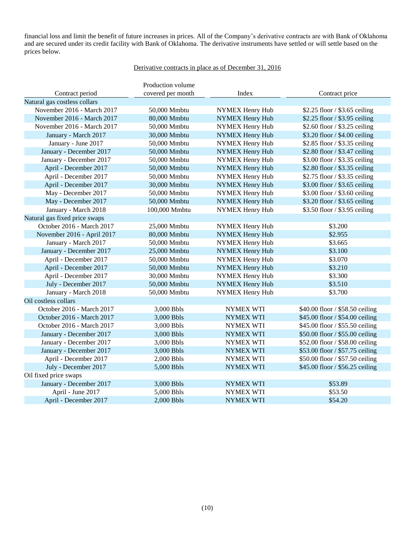financial loss and limit the benefit of future increases in prices. All of the Company's derivative contracts are with Bank of Oklahoma and are secured under its credit facility with Bank of Oklahoma. The derivative instruments have settled or will settle based on the prices below.

# Derivative contracts in place as of December 31, 2016

|                               | Production volume |                        |                                 |
|-------------------------------|-------------------|------------------------|---------------------------------|
| Contract period               | covered per month | Index                  | Contract price                  |
| Natural gas costless collars  |                   |                        |                                 |
| November 2016 - March 2017    | 50,000 Mmbtu      | NYMEX Henry Hub        | \$2.25 floor / \$3.65 ceiling   |
| November 2016 - March 2017    | 80,000 Mmbtu      | <b>NYMEX Henry Hub</b> | \$2.25 floor / \$3.95 ceiling   |
| November 2016 - March 2017    | 50,000 Mmbtu      | NYMEX Henry Hub        | \$2.60 floor / \$3.25 ceiling   |
| January - March 2017          | 30,000 Mmbtu      | <b>NYMEX Henry Hub</b> | \$3.20 floor / \$4.00 ceiling   |
| January - June 2017           | 50,000 Mmbtu      | <b>NYMEX Henry Hub</b> | \$2.85 floor / \$3.35 ceiling   |
| January - December 2017       | 50,000 Mmbtu      | <b>NYMEX Henry Hub</b> | \$2.80 floor / \$3.47 ceiling   |
| January - December 2017       | 50,000 Mmbtu      | NYMEX Henry Hub        | \$3.00 floor / \$3.35 ceiling   |
| April - December 2017         | 50,000 Mmbtu      | <b>NYMEX Henry Hub</b> | \$2.80 floor / \$3.35 ceiling   |
| April - December 2017         | 50,000 Mmbtu      | NYMEX Henry Hub        | \$2.75 floor / \$3.35 ceiling   |
| April - December 2017         | 30,000 Mmbtu      | <b>NYMEX Henry Hub</b> | \$3.00 floor / \$3.65 ceiling   |
| May - December 2017           | 50,000 Mmbtu      | NYMEX Henry Hub        | \$3.00 floor / \$3.60 ceiling   |
| May - December 2017           | 50,000 Mmbtu      | <b>NYMEX Henry Hub</b> | \$3.20 floor / \$3.65 ceiling   |
| January - March 2018          | 100,000 Mmbtu     | NYMEX Henry Hub        | \$3.50 floor / \$3.95 ceiling   |
| Natural gas fixed price swaps |                   |                        |                                 |
| October 2016 - March 2017     | 25,000 Mmbtu      | NYMEX Henry Hub        | \$3.200                         |
| November 2016 - April 2017    | 80,000 Mmbtu      | <b>NYMEX Henry Hub</b> | \$2.955                         |
| January - March 2017          | 50,000 Mmbtu      | NYMEX Henry Hub        | \$3.665                         |
| January - December 2017       | 25,000 Mmbtu      | <b>NYMEX Henry Hub</b> | \$3.100                         |
| April - December 2017         | 50,000 Mmbtu      | NYMEX Henry Hub        | \$3.070                         |
| April - December 2017         | 50,000 Mmbtu      | <b>NYMEX Henry Hub</b> | \$3.210                         |
| April - December 2017         | 30,000 Mmbtu      | NYMEX Henry Hub        | \$3.300                         |
| July - December 2017          | 50,000 Mmbtu      | <b>NYMEX Henry Hub</b> | \$3.510                         |
| January - March 2018          | 50,000 Mmbtu      | NYMEX Henry Hub        | \$3.700                         |
| Oil costless collars          |                   |                        |                                 |
| October 2016 - March 2017     | 3,000 Bbls        | <b>NYMEX WTI</b>       | \$40.00 floor / \$58.50 ceiling |
| October 2016 - March 2017     | 3,000 Bbls        | <b>NYMEX WTI</b>       | \$45.00 floor / \$54.00 ceiling |
| October 2016 - March 2017     | 3,000 Bbls        | <b>NYMEX WTI</b>       | \$45.00 floor / \$55.50 ceiling |
| January - December 2017       | 3,000 Bbls        | <b>NYMEX WTI</b>       | \$50.00 floor / \$55.00 ceiling |
| January - December 2017       | 3,000 Bbls        | <b>NYMEX WTI</b>       | \$52.00 floor / \$58.00 ceiling |
| January - December 2017       | 3,000 Bbls        | <b>NYMEX WTI</b>       | \$53.00 floor / \$57.75 ceiling |
| April - December 2017         | 2,000 Bbls        | <b>NYMEX WTI</b>       | \$50.00 floor / \$57.50 ceiling |
| July - December 2017          | 5,000 Bbls        | <b>NYMEX WTI</b>       | \$45.00 floor / \$56.25 ceiling |
| Oil fixed price swaps         |                   |                        |                                 |
| January - December 2017       | 3,000 Bbls        | <b>NYMEX WTI</b>       | \$53.89                         |
| April - June 2017             | 5,000 Bbls        | <b>NYMEX WTI</b>       | \$53.50                         |
| April - December 2017         | 2,000 Bbls        | <b>NYMEX WTI</b>       | \$54.20                         |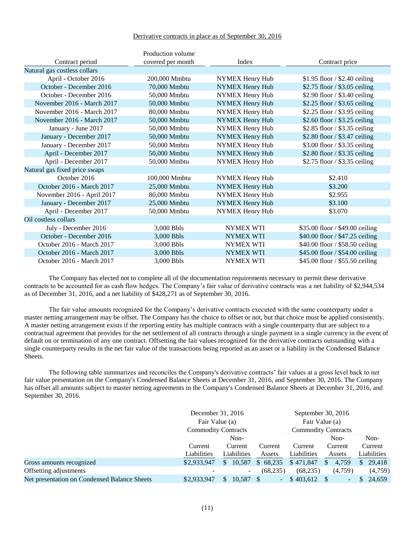## Derivative contracts in place as of September 30, 2016

| Production volume |                        |                                 |
|-------------------|------------------------|---------------------------------|
| covered per month | Index                  | Contract price                  |
|                   |                        |                                 |
| 200,000 Mmbtu     | NYMEX Henry Hub        | $$1.95$ floor / $$2.40$ ceiling |
| 70,000 Mmbtu      | <b>NYMEX Henry Hub</b> | \$2.75 floor / \$3.05 ceiling   |
| 50,000 Mmbtu      | NYMEX Henry Hub        | \$2.90 floor / \$3.40 ceiling   |
| 50,000 Mmbtu      | <b>NYMEX Henry Hub</b> | \$2.25 floor $/$ \$3.65 ceiling |
| 80,000 Mmbtu      | NYMEX Henry Hub        | \$2.25 floor / \$3.95 ceiling   |
| 50,000 Mmbtu      | <b>NYMEX Henry Hub</b> | $$2.60$ floor / \$3.25 ceiling  |
| 50,000 Mmbtu      | NYMEX Henry Hub        | \$2.85 floor / \$3.35 ceiling   |
| 50,000 Mmbtu      | NYMEX Henry Hub        | \$2.80 floor / \$3.47 ceiling   |
| 50,000 Mmbtu      | NYMEX Henry Hub        | \$3.00 floor / \$3.35 ceiling   |
| 50,000 Mmbtu      | NYMEX Henry Hub        | \$2.80 floor / \$3.35 ceiling   |
| 50,000 Mmbtu      | NYMEX Henry Hub        | \$2.75 floor / \$3.35 ceiling   |
|                   |                        |                                 |
| 100,000 Mmbtu     | NYMEX Henry Hub        | \$2.410                         |
| 25,000 Mmbtu      | <b>NYMEX Henry Hub</b> | \$3.200                         |
| 80,000 Mmbtu      | NYMEX Henry Hub        | \$2.955                         |
| 25,000 Mmbtu      | NYMEX Henry Hub        | \$3.100                         |
| 50,000 Mmbtu      | NYMEX Henry Hub        | \$3.070                         |
|                   |                        |                                 |
| 3,000 Bbls        | <b>NYMEX WTI</b>       | \$35.00 floor / \$49.00 ceiling |
| 3,000 Bbls        | <b>NYMEX WTI</b>       | \$40.00 floor / \$47.25 ceiling |
| 3,000 Bbls        | <b>NYMEX WTI</b>       | \$40.00 floor / \$58.50 ceiling |
| 3,000 Bbls        | <b>NYMEX WTI</b>       | \$45.00 floor / \$54.00 ceiling |
| 3,000 Bbls        | <b>NYMEX WTI</b>       | \$45.00 floor / \$55.50 ceiling |
|                   |                        |                                 |

The Company has elected not to complete all of the documentation requirements necessary to permit these derivative contracts to be accounted for as cash flow hedges. The Company's fair value of derivative contracts was a net liability of \$2,944,534 as of December 31, 2016, and a net liability of \$428,271 as of September 30, 2016.

The fair value amounts recognized for the Company's derivative contracts executed with the same counterparty under a master netting arrangement may be offset. The Company has the choice to offset or not, but that choice must be applied consistently. A master netting arrangement exists if the reporting entity has multiple contracts with a single counterparty that are subject to a contractual agreement that provides for the net settlement of all contracts through a single payment in a single currency in the event of default on or termination of any one contract. Offsetting the fair values recognized for the derivative contracts outstanding with a single counterparty results in the net fair value of the transactions being reported as an asset or a liability in the Condensed Balance **Sheets**.

The following table summarizes and reconciles the Company's derivative contracts' fair values at a gross level back to net fair value presentation on the Company's Condensed Balance Sheets at December 31, 2016, and September 30, 2016. The Company has offset all amounts subject to master netting agreements in the Company's Condensed Balance Sheets at December 31, 2016, and September 30, 2016.

|                                              | December 31, 2016      |                            |                                  |                            |                          |                        |  |
|----------------------------------------------|------------------------|----------------------------|----------------------------------|----------------------------|--------------------------|------------------------|--|
|                                              | Fair Value (a)         |                            |                                  | Fair Value (a)             |                          |                        |  |
|                                              |                        | <b>Commodity Contracts</b> |                                  | <b>Commodity Contracts</b> |                          |                        |  |
|                                              |                        | Non-                       |                                  |                            | Non-                     | Non-                   |  |
|                                              | Current<br>Liabilities | Current<br>Liabilities     | Current<br>Assets                | Current<br>Liabilities     | Current<br>Assets        | Current<br>Liabilities |  |
| Gross amounts recognized                     | \$2,933,947            | 10,587<br>S.               | \$68,235                         | \$471,847                  | 4.759                    | 29,418<br>S.           |  |
| Offsetting adjustments                       |                        | -                          | (68, 235)                        | (68, 235)                  | (4,759)                  | (4,759)                |  |
| Net presentation on Condensed Balance Sheets | \$2,933,947            | 10.587<br>\$.              | - \$<br>$\overline{\phantom{a}}$ | \$403,612                  | $\overline{\phantom{a}}$ | 24.659                 |  |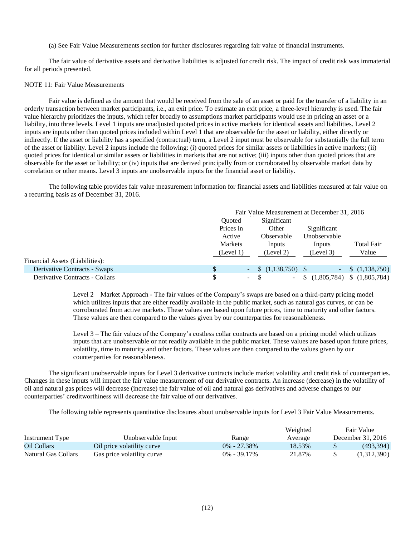(a) See Fair Value Measurements section for further disclosures regarding fair value of financial instruments.

The fair value of derivative assets and derivative liabilities is adjusted for credit risk. The impact of credit risk was immaterial for all periods presented.

## NOTE 11: Fair Value Measurements

Fair value is defined as the amount that would be received from the sale of an asset or paid for the transfer of a liability in an orderly transaction between market participants, i.e., an exit price. To estimate an exit price, a three-level hierarchy is used. The fair value hierarchy prioritizes the inputs, which refer broadly to assumptions market participants would use in pricing an asset or a liability, into three levels. Level 1 inputs are unadjusted quoted prices in active markets for identical assets and liabilities. Level 2 inputs are inputs other than quoted prices included within Level 1 that are observable for the asset or liability, either directly or indirectly. If the asset or liability has a specified (contractual) term, a Level 2 input must be observable for substantially the full term of the asset or liability. Level 2 inputs include the following: (i) quoted prices for similar assets or liabilities in active markets; (ii) quoted prices for identical or similar assets or liabilities in markets that are not active; (iii) inputs other than quoted prices that are observable for the asset or liability; or (iv) inputs that are derived principally from or corroborated by observable market data by correlation or other means. Level 3 inputs are unobservable inputs for the financial asset or liability.

The following table provides fair value measurement information for financial assets and liabilities measured at fair value on a recurring basis as of December 31, 2016.

|                                 | Fair Value Measurement at December 31, 2016 |                     |                    |                          |                   |  |  |
|---------------------------------|---------------------------------------------|---------------------|--------------------|--------------------------|-------------------|--|--|
|                                 | Ouoted                                      |                     | Significant        |                          |                   |  |  |
|                                 | Prices in                                   |                     | Other              | Significant              |                   |  |  |
|                                 | Active                                      | Observable          |                    |                          |                   |  |  |
|                                 | <b>Markets</b>                              |                     | Inputs             | Inputs                   | <b>Total Fair</b> |  |  |
|                                 | (Level 1)                                   |                     | (Level 2)          | (Level 3)                | Value             |  |  |
| Financial Assets (Liabilities): |                                             |                     |                    |                          |                   |  |  |
| Derivative Contracts - Swaps    | \$                                          |                     | $$(1,138,750)$ \\$ | $\overline{\phantom{a}}$ | (1,138,750)       |  |  |
| Derivative Contracts - Collars  | \$                                          | $\omega_{\rm{max}}$ | -\$<br>$\sim$      | (1,805,784)              | \$(1,805,784)     |  |  |

Level 2 – Market Approach - The fair values of the Company's swaps are based on a third-party pricing model which utilizes inputs that are either readily available in the public market, such as natural gas curves, or can be corroborated from active markets. These values are based upon future prices, time to maturity and other factors. These values are then compared to the values given by our counterparties for reasonableness.

Level 3 – The fair values of the Company's costless collar contracts are based on a pricing model which utilizes inputs that are unobservable or not readily available in the public market. These values are based upon future prices, volatility, time to maturity and other factors. These values are then compared to the values given by our counterparties for reasonableness.

The significant unobservable inputs for Level 3 derivative contracts include market volatility and credit risk of counterparties. Changes in these inputs will impact the fair value measurement of our derivative contracts. An increase (decrease) in the volatility of oil and natural gas prices will decrease (increase) the fair value of oil and natural gas derivatives and adverse changes to our counterparties' creditworthiness will decrease the fair value of our derivatives.

The following table represents quantitative disclosures about unobservable inputs for Level 3 Fair Value Measurements.

| Instrument Type     | Unobservable Input         | Range           | Weighted<br>Average | Fair Value<br>December 31, 2016 |
|---------------------|----------------------------|-----------------|---------------------|---------------------------------|
| Oil Collars         | Oil price volatility curve | $0\% - 27.38\%$ | 18.53%              | (493,394)                       |
| Natural Gas Collars | Gas price volatility curve | $0\% - 39.17\%$ | 21.87%              | (1,312,390)                     |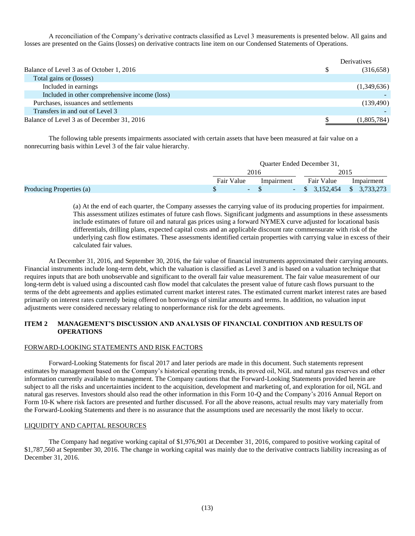A reconciliation of the Company's derivative contracts classified as Level 3 measurements is presented below. All gains and losses are presented on the Gains (losses) on derivative contracts line item on our Condensed Statements of Operations.

|                                               | Derivatives |
|-----------------------------------------------|-------------|
| Balance of Level 3 as of October 1, 2016      | (316, 658)  |
| Total gains or (losses)                       |             |
| Included in earnings                          | (1,349,636) |
| Included in other comprehensive income (loss) |             |
| Purchases, issuances and settlements          | (139, 490)  |
| Transfers in and out of Level 3               |             |
| Balance of Level 3 as of December 31, 2016    | (1,805,784) |

The following table presents impairments associated with certain assets that have been measured at fair value on a nonrecurring basis within Level 3 of the fair value hierarchy.

|                          |            | <b>Ouarter Ended December 31,</b> |                               |            |  |  |
|--------------------------|------------|-----------------------------------|-------------------------------|------------|--|--|
|                          |            | 2016                              |                               | 2015       |  |  |
|                          | Fair Value | Impairment                        | Fair Value                    | Impairment |  |  |
| Producing Properties (a) |            | $-5$                              | $-$ \$ 3,152,454 \$ 3,733,273 |            |  |  |

<span id="page-15-0"></span>(a) At the end of each quarter, the Company assesses the carrying value of its producing properties for impairment. This assessment utilizes estimates of future cash flows. Significant judgments and assumptions in these assessments include estimates of future oil and natural gas prices using a forward NYMEX curve adjusted for locational basis differentials, drilling plans, expected capital costs and an applicable discount rate commensurate with risk of the underlying cash flow estimates. These assessments identified certain properties with carrying value in excess of their calculated fair values.

At December 31, 2016, and September 30, 2016, the fair value of financial instruments approximated their carrying amounts. Financial instruments include long-term debt, which the valuation is classified as Level 3 and is based on a valuation technique that requires inputs that are both unobservable and significant to the overall fair value measurement. The fair value measurement of our long-term debt is valued using a discounted cash flow model that calculates the present value of future cash flows pursuant to the terms of the debt agreements and applies estimated current market interest rates. The estimated current market interest rates are based primarily on interest rates currently being offered on borrowings of similar amounts and terms. In addition, no valuation input adjustments were considered necessary relating to nonperformance risk for the debt agreements.

# **ITEM 2 MANAGEMENT'S DISCUSSION AND ANALYSIS OF FINANCIAL CONDITION AND RESULTS OF OPERATIONS**

# FORWARD-LOOKING STATEMENTS AND RISK FACTORS

Forward-Looking Statements for fiscal 2017 and later periods are made in this document. Such statements represent estimates by management based on the Company's historical operating trends, its proved oil, NGL and natural gas reserves and other information currently available to management. The Company cautions that the Forward-Looking Statements provided herein are subject to all the risks and uncertainties incident to the acquisition, development and marketing of, and exploration for oil, NGL and natural gas reserves. Investors should also read the other information in this Form 10-Q and the Company's 2016 Annual Report on Form 10-K where risk factors are presented and further discussed. For all the above reasons, actual results may vary materially from the Forward-Looking Statements and there is no assurance that the assumptions used are necessarily the most likely to occur.

## LIQUIDITY AND CAPITAL RESOURCES

The Company had negative working capital of \$1,976,901 at December 31, 2016, compared to positive working capital of \$1,787,560 at September 30, 2016. The change in working capital was mainly due to the derivative contracts liability increasing as of December 31, 2016.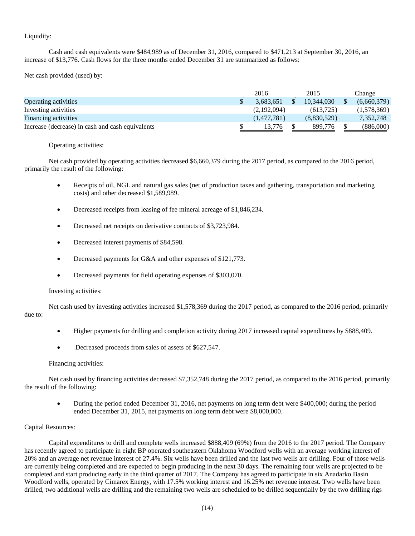# Liquidity:

Cash and cash equivalents were \$484,989 as of December 31, 2016, compared to \$471,213 at September 30, 2016, an increase of \$13,776. Cash flows for the three months ended December 31 are summarized as follows:

Net cash provided (used) by:

|                                                  | 2016        | 2015        | Change      |
|--------------------------------------------------|-------------|-------------|-------------|
| Operating activities                             | 3.683.651   | 10.344,030  | (6,660,379) |
| Investing activities                             | (2,192,094) | (613.725)   | (1,578,369) |
| <b>Financing activities</b>                      | (1,477,781) | (8,830,529) | 7,352,748   |
| Increase (decrease) in cash and cash equivalents | 13.776      | 899.776     | (886,000)   |

Operating activities:

Net cash provided by operating activities decreased \$6,660,379 during the 2017 period, as compared to the 2016 period, primarily the result of the following:

- Receipts of oil, NGL and natural gas sales (net of production taxes and gathering, transportation and marketing costs) and other decreased \$1,589,989.
- Decreased receipts from leasing of fee mineral acreage of \$1,846,234.
- Decreased net receipts on derivative contracts of \$3,723,984.
- Decreased interest payments of \$84,598.
- Decreased payments for G&A and other expenses of \$121,773.
- Decreased payments for field operating expenses of \$303,070.

# Investing activities:

Net cash used by investing activities increased \$1,578,369 during the 2017 period, as compared to the 2016 period, primarily due to:

- Higher payments for drilling and completion activity during 2017 increased capital expenditures by \$888,409.
- Decreased proceeds from sales of assets of \$627,547.

# Financing activities:

Net cash used by financing activities decreased \$7,352,748 during the 2017 period, as compared to the 2016 period, primarily the result of the following:

 During the period ended December 31, 2016, net payments on long term debt were \$400,000; during the period ended December 31, 2015, net payments on long term debt were \$8,000,000.

# Capital Resources:

Capital expenditures to drill and complete wells increased \$888,409 (69%) from the 2016 to the 2017 period. The Company has recently agreed to participate in eight BP operated southeastern Oklahoma Woodford wells with an average working interest of 20% and an average net revenue interest of 27.4%. Six wells have been drilled and the last two wells are drilling. Four of those wells are currently being completed and are expected to begin producing in the next 30 days. The remaining four wells are projected to be completed and start producing early in the third quarter of 2017. The Company has agreed to participate in six Anadarko Basin Woodford wells, operated by Cimarex Energy, with 17.5% working interest and 16.25% net revenue interest. Two wells have been drilled, two additional wells are drilling and the remaining two wells are scheduled to be drilled sequentially by the two drilling rigs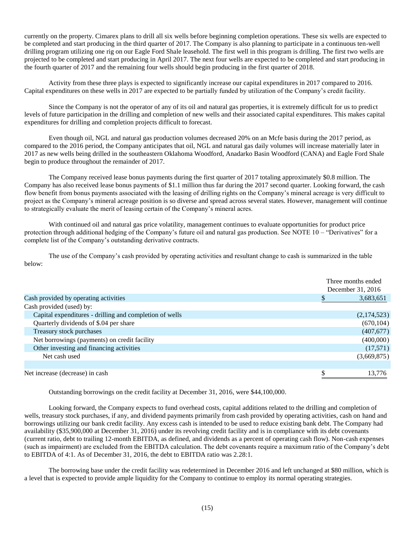currently on the property. Cimarex plans to drill all six wells before beginning completion operations. These six wells are expected to be completed and start producing in the third quarter of 2017. The Company is also planning to participate in a continuous ten-well drilling program utilizing one rig on our Eagle Ford Shale leasehold. The first well in this program is drilling. The first two wells are projected to be completed and start producing in April 2017. The next four wells are expected to be completed and start producing in the fourth quarter of 2017 and the remaining four wells should begin producing in the first quarter of 2018.

Activity from these three plays is expected to significantly increase our capital expenditures in 2017 compared to 2016. Capital expenditures on these wells in 2017 are expected to be partially funded by utilization of the Company's credit facility.

Since the Company is not the operator of any of its oil and natural gas properties, it is extremely difficult for us to predict levels of future participation in the drilling and completion of new wells and their associated capital expenditures. This makes capital expenditures for drilling and completion projects difficult to forecast.

Even though oil, NGL and natural gas production volumes decreased 20% on an Mcfe basis during the 2017 period, as compared to the 2016 period, the Company anticipates that oil, NGL and natural gas daily volumes will increase materially later in 2017 as new wells being drilled in the southeastern Oklahoma Woodford, Anadarko Basin Woodford (CANA) and Eagle Ford Shale begin to produce throughout the remainder of 2017.

The Company received lease bonus payments during the first quarter of 2017 totaling approximately \$0.8 million. The Company has also received lease bonus payments of \$1.1 million thus far during the 2017 second quarter. Looking forward, the cash flow benefit from bonus payments associated with the leasing of drilling rights on the Company's mineral acreage is very difficult to project as the Company's mineral acreage position is so diverse and spread across several states. However, management will continue to strategically evaluate the merit of leasing certain of the Company's mineral acres.

With continued oil and natural gas price volatility, management continues to evaluate opportunities for product price protection through additional hedging of the Company's future oil and natural gas production. See NOTE 10 – "Derivatives" for a complete list of the Company's outstanding derivative contracts.

The use of the Company's cash provided by operating activities and resultant change to cash is summarized in the table below:

|                                                         | Three months ended |
|---------------------------------------------------------|--------------------|
|                                                         | December 31, 2016  |
| Cash provided by operating activities                   | 3,683,651          |
| Cash provided (used) by:                                |                    |
| Capital expenditures - drilling and completion of wells | (2,174,523)        |
| Quarterly dividends of \$.04 per share                  | (670, 104)         |
| Treasury stock purchases                                | (407,677)          |
| Net borrowings (payments) on credit facility            | (400,000)          |
| Other investing and financing activities                | (17,571)           |
| Net cash used                                           | (3,669,875)        |
|                                                         |                    |
| Net increase (decrease) in cash                         | 13.776             |

Outstanding borrowings on the credit facility at December 31, 2016, were \$44,100,000.

Looking forward, the Company expects to fund overhead costs, capital additions related to the drilling and completion of wells, treasury stock purchases, if any, and dividend payments primarily from cash provided by operating activities, cash on hand and borrowings utilizing our bank credit facility. Any excess cash is intended to be used to reduce existing bank debt. The Company had availability (\$35,900,000 at December 31, 2016) under its revolving credit facility and is in compliance with its debt covenants (current ratio, debt to trailing 12-month EBITDA, as defined, and dividends as a percent of operating cash flow). Non-cash expenses (such as impairment) are excluded from the EBITDA calculation. The debt covenants require a maximum ratio of the Company's debt to EBITDA of 4:1. As of December 31, 2016, the debt to EBITDA ratio was 2.28:1.

The borrowing base under the credit facility was redetermined in December 2016 and left unchanged at \$80 million, which is a level that is expected to provide ample liquidity for the Company to continue to employ its normal operating strategies.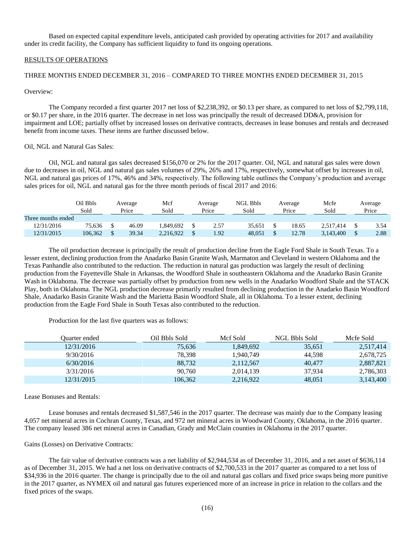Based on expected capital expenditure levels, anticipated cash provided by operating activities for 2017 and availability under its credit facility, the Company has sufficient liquidity to fund its ongoing operations.

## RESULTS OF OPERATIONS

# THREE MONTHS ENDED DECEMBER 31, 2016 – COMPARED TO THREE MONTHS ENDED DECEMBER 31, 2015

#### Overview:

The Company recorded a first quarter 2017 net loss of \$2,238,392, or \$0.13 per share, as compared to net loss of \$2,799,118, or \$0.17 per share, in the 2016 quarter. The decrease in net loss was principally the result of decreased DD&A, provision for impairment and LOE; partially offset by increased losses on derivative contracts, decreases in lease bonuses and rentals and decreased benefit from income taxes. These items are further discussed below.

#### Oil, NGL and Natural Gas Sales:

Oil, NGL and natural gas sales decreased \$156,070 or 2% for the 2017 quarter. Oil, NGL and natural gas sales were down due to decreases in oil, NGL and natural gas sales volumes of 29%, 26% and 17%, respectively, somewhat offset by increases in oil, NGL and natural gas prices of 17%, 46% and 34%, respectively. The following table outlines the Company's production and average sales prices for oil, NGL and natural gas for the three month periods of fiscal 2017 and 2016:

|                    | Oil Bbls<br>Sold | Average<br>Price | Mcf<br>Sold | Average<br>Price | NGL Bbls<br>Sold | Average<br>Price | Mcfe<br>Sold | Average<br>Price |
|--------------------|------------------|------------------|-------------|------------------|------------------|------------------|--------------|------------------|
| Three months ended |                  |                  |             |                  |                  |                  |              |                  |
| 12/31/2016         | 75.636           | 46.09            | .849.692    | 2.57             | 35.651           | 18.65            | 2.517.414    | 3.54             |
| 12/31/2015         | 106.362          | 39.34            | 2.216.922   | 1.92             | 48.051           | 12.78            | 3.143.400    | 2.88             |

The oil production decrease is principally the result of production decline from the Eagle Ford Shale in South Texas. To a lesser extent, declining production from the Anadarko Basin Granite Wash, Marmaton and Cleveland in western Oklahoma and the Texas Panhandle also contributed to the reduction. The reduction in natural gas production was largely the result of declining production from the Fayetteville Shale in Arkansas, the Woodford Shale in southeastern Oklahoma and the Anadarko Basin Granite Wash in Oklahoma. The decrease was partially offset by production from new wells in the Anadarko Woodford Shale and the STACK Play, both in Oklahoma. The NGL production decrease primarily resulted from declining production in the Anadarko Basin Woodford Shale, Anadarko Basin Granite Wash and the Marietta Basin Woodford Shale, all in Oklahoma. To a lesser extent, declining production from the Eagle Ford Shale in South Texas also contributed to the reduction.

Production for the last five quarters was as follows:

| Ouarter ended | Oil Bbls Sold- | Mcf Sold  | NGL Bbls Sold | Mcfe Sold |
|---------------|----------------|-----------|---------------|-----------|
| 12/31/2016    | 75.636         | 1,849,692 | 35.651        | 2,517,414 |
| 9/30/2016     | 78.398         | 1,940,749 | 44.598        | 2,678,725 |
| 6/30/2016     | 88.732         | 2,112,567 | 40,477        | 2,887,821 |
| 3/31/2016     | 90,760         | 2,014,139 | 37.934        | 2,786,303 |
| 12/31/2015    | 106,362        | 2,216,922 | 48.051        | 3,143,400 |

Lease Bonuses and Rentals:

Lease bonuses and rentals decreased \$1,587,546 in the 2017 quarter. The decrease was mainly due to the Company leasing 4,057 net mineral acres in Cochran County, Texas, and 972 net mineral acres in Woodward County, Oklahoma, in the 2016 quarter. The company leased 386 net mineral acres in Canadian, Grady and McClain counties in Oklahoma in the 2017 quarter.

#### Gains (Losses) on Derivative Contracts:

The fair value of derivative contracts was a net liability of \$2,944,534 as of December 31, 2016, and a net asset of \$636,114 as of December 31, 2015. We had a net loss on derivative contracts of \$2,700,533 in the 2017 quarter as compared to a net loss of \$34,936 in the 2016 quarter. The change is principally due to the oil and natural gas collars and fixed price swaps being more punitive in the 2017 quarter, as NYMEX oil and natural gas futures experienced more of an increase in price in relation to the collars and the fixed prices of the swaps.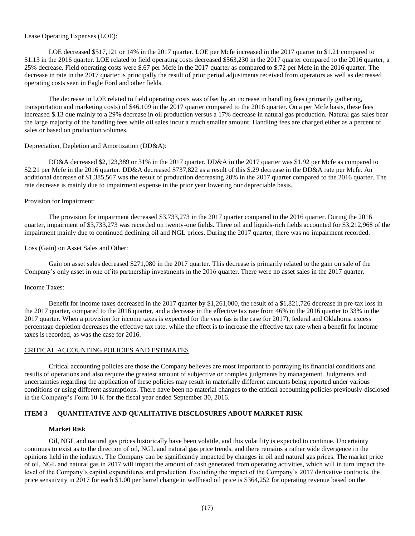## Lease Operating Expenses (LOE):

LOE decreased \$517,121 or 14% in the 2017 quarter. LOE per Mcfe increased in the 2017 quarter to \$1.21 compared to \$1.13 in the 2016 quarter. LOE related to field operating costs decreased \$563,230 in the 2017 quarter compared to the 2016 quarter, a 25% decrease. Field operating costs were \$.67 per Mcfe in the 2017 quarter as compared to \$.72 per Mcfe in the 2016 quarter. The decrease in rate in the 2017 quarter is principally the result of prior period adjustments received from operators as well as decreased operating costs seen in Eagle Ford and other fields.

The decrease in LOE related to field operating costs was offset by an increase in handling fees (primarily gathering, transportation and marketing costs) of \$46,109 in the 2017 quarter compared to the 2016 quarter. On a per Mcfe basis, these fees increased \$.13 due mainly to a 29% decrease in oil production versus a 17% decrease in natural gas production. Natural gas sales bear the large majority of the handling fees while oil sales incur a much smaller amount. Handling fees are charged either as a percent of sales or based on production volumes.

### Depreciation, Depletion and Amortization (DD&A):

DD&A decreased \$2,123,389 or 31% in the 2017 quarter. DD&A in the 2017 quarter was \$1.92 per Mcfe as compared to \$2.21 per Mcfe in the 2016 quarter. DD&A decreased \$737,822 as a result of this \$.29 decrease in the DD&A rate per Mcfe. An additional decrease of \$1,385,567 was the result of production decreasing 20% in the 2017 quarter compared to the 2016 quarter. The rate decrease is mainly due to impairment expense in the prior year lowering our depreciable basis.

# Provision for Impairment:

The provision for impairment decreased \$3,733,273 in the 2017 quarter compared to the 2016 quarter. During the 2016 quarter, impairment of \$3,733,273 was recorded on twenty-one fields. Three oil and liquids-rich fields accounted for \$3,212,968 of the impairment mainly due to continued declining oil and NGL prices. During the 2017 quarter, there was no impairment recorded.

# Loss (Gain) on Asset Sales and Other:

Gain on asset sales decreased \$271,080 in the 2017 quarter. This decrease is primarily related to the gain on sale of the Company's only asset in one of its partnership investments in the 2016 quarter. There were no asset sales in the 2017 quarter.

### Income Taxes:

Benefit for income taxes decreased in the 2017 quarter by \$1,261,000, the result of a \$1,821,726 decrease in pre-tax loss in the 2017 quarter, compared to the 2016 quarter, and a decrease in the effective tax rate from 46% in the 2016 quarter to 33% in the 2017 quarter. When a provision for income taxes is expected for the year (as is the case for 2017), federal and Oklahoma excess percentage depletion decreases the effective tax rate, while the effect is to increase the effective tax rate when a benefit for income taxes is recorded, as was the case for 2016.

## CRITICAL ACCOUNTING POLICIES AND ESTIMATES

Critical accounting policies are those the Company believes are most important to portraying its financial conditions and results of operations and also require the greatest amount of subjective or complex judgments by management. Judgments and uncertainties regarding the application of these policies may result in materially different amounts being reported under various conditions or using different assumptions. There have been no material changes to the critical accounting policies previously disclosed in the Company's Form 10-K for the fiscal year ended September 30, 2016.

# **ITEM 3 QUANTITATIVE AND QUALITATIVE DISCLOSURES ABOUT MARKET RISK**

### <span id="page-19-0"></span>**Market Risk**

Oil, NGL and natural gas prices historically have been volatile, and this volatility is expected to continue. Uncertainty continues to exist as to the direction of oil, NGL and natural gas price trends, and there remains a rather wide divergence in the opinions held in the industry. The Company can be significantly impacted by changes in oil and natural gas prices. The market price of oil, NGL and natural gas in 2017 will impact the amount of cash generated from operating activities, which will in turn impact the level of the Company's capital expenditures and production. Excluding the impact of the Company's 2017 derivative contracts, the price sensitivity in 2017 for each \$1.00 per barrel change in wellhead oil price is \$364,252 for operating revenue based on the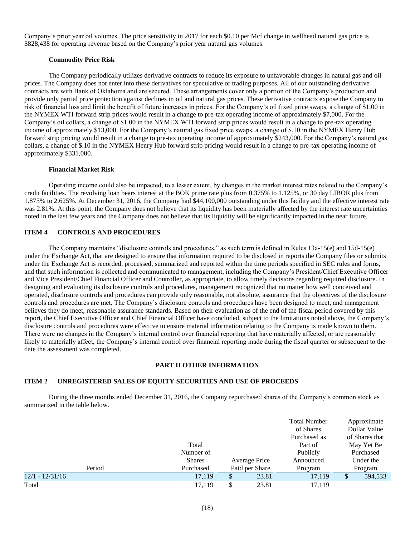Company's prior year oil volumes. The price sensitivity in 2017 for each \$0.10 per Mcf change in wellhead natural gas price is \$828,438 for operating revenue based on the Company's prior year natural gas volumes.

# **Commodity Price Risk**

The Company periodically utilizes derivative contracts to reduce its exposure to unfavorable changes in natural gas and oil prices. The Company does not enter into these derivatives for speculative or trading purposes. All of our outstanding derivative contracts are with Bank of Oklahoma and are secured. These arrangements cover only a portion of the Company's production and provide only partial price protection against declines in oil and natural gas prices. These derivative contracts expose the Company to risk of financial loss and limit the benefit of future increases in prices. For the Company's oil fixed price swaps, a change of \$1.00 in the NYMEX WTI forward strip prices would result in a change to pre-tax operating income of approximately \$7,000. For the Company's oil collars, a change of \$1.00 in the NYMEX WTI forward strip prices would result in a change to pre-tax operating income of approximately \$13,000. For the Company's natural gas fixed price swaps, a change of \$.10 in the NYMEX Henry Hub forward strip pricing would result in a change to pre-tax operating income of approximately \$243,000. For the Company's natural gas collars, a change of \$.10 in the NYMEX Henry Hub forward strip pricing would result in a change to pre-tax operating income of approximately \$331,000.

#### <span id="page-20-0"></span>**Financial Market Risk**

Operating income could also be impacted, to a lesser extent, by changes in the market interest rates related to the Company's credit facilities. The revolving loan bears interest at the BOK prime rate plus from 0.375% to 1.125%, or 30 day LIBOR plus from 1.875% to 2.625%. At December 31, 2016, the Company had \$44,100,000 outstanding under this facility and the effective interest rate was 2.81%. At this point, the Company does not believe that its liquidity has been materially affected by the interest rate uncertainties noted in the last few years and the Company does not believe that its liquidity will be significantly impacted in the near future.

### **ITEM 4 CONTROLS AND PROCEDURES**

The Company maintains "disclosure controls and procedures," as such term is defined in Rules 13a-15(e) and 15d-15(e) under the Exchange Act, that are designed to ensure that information required to be disclosed in reports the Company files or submits under the Exchange Act is recorded, processed, summarized and reported within the time periods specified in SEC rules and forms, and that such information is collected and communicated to management, including the Company's President/Chief Executive Officer and Vice President/Chief Financial Officer and Controller, as appropriate, to allow timely decisions regarding required disclosure. In designing and evaluating its disclosure controls and procedures, management recognized that no matter how well conceived and operated, disclosure controls and procedures can provide only reasonable, not absolute, assurance that the objectives of the disclosure controls and procedures are met. The Company's disclosure controls and procedures have been designed to meet, and management believes they do meet, reasonable assurance standards. Based on their evaluation as of the end of the fiscal period covered by this report, the Chief Executive Officer and Chief Financial Officer have concluded, subject to the limitations noted above, the Company's disclosure controls and procedures were effective to ensure material information relating to the Company is made known to them. There were no changes in the Company's internal control over financial reporting that have materially affected, or are reasonably likely to materially affect, the Company's internal control over financial reporting made during the fiscal quarter or subsequent to the date the assessment was completed.

# <span id="page-20-2"></span><span id="page-20-1"></span>**PART II OTHER INFORMATION**

### **ITEM 2 UNREGISTERED SALES OF EQUITY SECURITIES AND USE OF PROCEEDS**

During the three months ended December 31, 2016, the Company repurchased shares of the Company's common stock as summarized in the table below.

|                   |               |                | <b>Total Number</b> | Approximate    |
|-------------------|---------------|----------------|---------------------|----------------|
|                   |               |                | of Shares           | Dollar Value   |
|                   |               |                | Purchased as        | of Shares that |
|                   | Total         |                | Part of             | May Yet Be     |
|                   | Number of     |                | Publicly            | Purchased      |
|                   | <b>Shares</b> | Average Price  | Announced           | Under the      |
| Period            | Purchased     | Paid per Share | Program             | Program        |
| $12/1 - 12/31/16$ | 17,119        | 23.81          | 17,119              | \$<br>594,533  |
| Total             | 17.119        | \$<br>23.81    | 17.119              |                |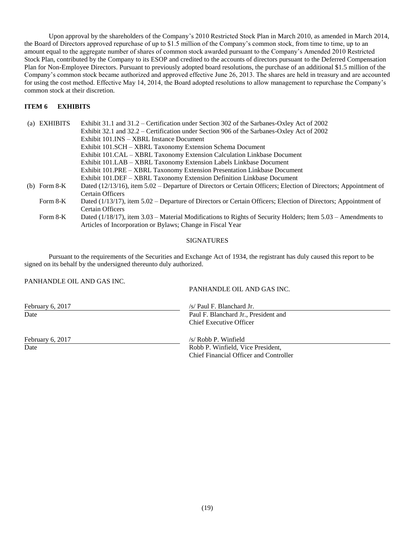Upon approval by the shareholders of the Company's 2010 Restricted Stock Plan in March 2010, as amended in March 2014, the Board of Directors approved repurchase of up to \$1.5 million of the Company's common stock, from time to time, up to an amount equal to the aggregate number of shares of common stock awarded pursuant to the Company's Amended 2010 Restricted Stock Plan, contributed by the Company to its ESOP and credited to the accounts of directors pursuant to the Deferred Compensation Plan for Non-Employee Directors. Pursuant to previously adopted board resolutions, the purchase of an additional \$1.5 million of the Company's common stock became authorized and approved effective June 26, 2013. The shares are held in treasury and are accounted for using the cost method. Effective May 14, 2014, the Board adopted resolutions to allow management to repurchase the Company's common stock at their discretion.

# <span id="page-21-0"></span>**ITEM 6 EXHIBITS**

| (a) | <b>EXHIBITS</b> | Exhibit 31.1 and 31.2 – Certification under Section 302 of the Sarbanes-Oxley Act of 2002                       |
|-----|-----------------|-----------------------------------------------------------------------------------------------------------------|
|     |                 | Exhibit 32.1 and 32.2 – Certification under Section 906 of the Sarbanes-Oxley Act of 2002                       |
|     |                 | Exhibit 101.INS – XBRL Instance Document                                                                        |
|     |                 | Exhibit 101.SCH – XBRL Taxonomy Extension Schema Document                                                       |
|     |                 | Exhibit 101.CAL - XBRL Taxonomy Extension Calculation Linkbase Document                                         |
|     |                 | Exhibit 101.LAB - XBRL Taxonomy Extension Labels Linkbase Document                                              |
|     |                 | Exhibit 101.PRE - XBRL Taxonomy Extension Presentation Linkbase Document                                        |
|     |                 | Exhibit 101.DEF – XBRL Taxonomy Extension Definition Linkbase Document                                          |
|     | (b) Form $8-K$  | Dated (12/13/16), item 5.02 – Departure of Directors or Certain Officers; Election of Directors; Appointment of |
|     |                 | <b>Certain Officers</b>                                                                                         |
|     | Form 8-K        | Dated (1/13/17), item 5.02 – Departure of Directors or Certain Officers; Election of Directors; Appointment of  |
|     |                 | <b>Certain Officers</b>                                                                                         |
|     | Form 8-K        | Dated (1/18/17), item 3.03 – Material Modifications to Rights of Security Holders; Item 5.03 – Amendments to    |
|     |                 | Articles of Incorporation or Bylaws; Change in Fiscal Year                                                      |

# <span id="page-21-1"></span>SIGNATURES

Pursuant to the requirements of the Securities and Exchange Act of 1934, the registrant has duly caused this report to be signed on its behalf by the undersigned thereunto duly authorized.

PANHANDLE OIL AND GAS INC.

PANHANDLE OIL AND GAS INC.

February 6, 2017 /s/ Paul F. Blanchard Jr.

February 6, 2017 /s/ Robb P. Winfield

Date Paul F. Blanchard Jr., President and Chief Executive Officer

Date **Robb P. Winfield, Vice President**, Chief Financial Officer and Controller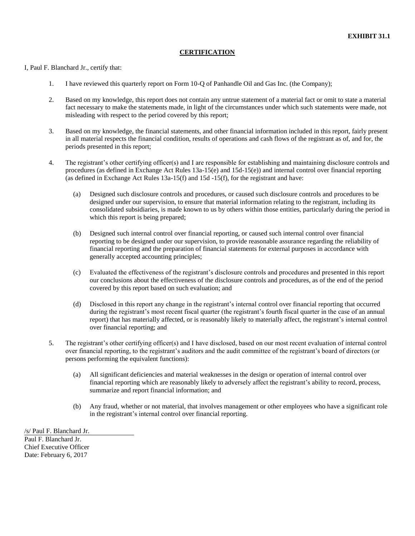# **CERTIFICATION**

I, Paul F. Blanchard Jr., certify that:

- 1. I have reviewed this quarterly report on Form 10-Q of Panhandle Oil and Gas Inc. (the Company);
- 2. Based on my knowledge, this report does not contain any untrue statement of a material fact or omit to state a material fact necessary to make the statements made, in light of the circumstances under which such statements were made, not misleading with respect to the period covered by this report;
- 3. Based on my knowledge, the financial statements, and other financial information included in this report, fairly present in all material respects the financial condition, results of operations and cash flows of the registrant as of, and for, the periods presented in this report;
- 4. The registrant's other certifying officer(s) and I are responsible for establishing and maintaining disclosure controls and procedures (as defined in Exchange Act Rules 13a-15(e) and 15d-15(e)) and internal control over financial reporting (as defined in Exchange Act Rules 13a-15(f) and 15d -15(f), for the registrant and have:
	- (a) Designed such disclosure controls and procedures, or caused such disclosure controls and procedures to be designed under our supervision, to ensure that material information relating to the registrant, including its consolidated subsidiaries, is made known to us by others within those entities, particularly during the period in which this report is being prepared;
	- (b) Designed such internal control over financial reporting, or caused such internal control over financial reporting to be designed under our supervision, to provide reasonable assurance regarding the reliability of financial reporting and the preparation of financial statements for external purposes in accordance with generally accepted accounting principles;
	- (c) Evaluated the effectiveness of the registrant's disclosure controls and procedures and presented in this report our conclusions about the effectiveness of the disclosure controls and procedures, as of the end of the period covered by this report based on such evaluation; and
	- (d) Disclosed in this report any change in the registrant's internal control over financial reporting that occurred during the registrant's most recent fiscal quarter (the registrant's fourth fiscal quarter in the case of an annual report) that has materially affected, or is reasonably likely to materially affect, the registrant's internal control over financial reporting; and
- 5. The registrant's other certifying officer(s) and I have disclosed, based on our most recent evaluation of internal control over financial reporting, to the registrant's auditors and the audit committee of the registrant's board of directors (or persons performing the equivalent functions):
	- (a) All significant deficiencies and material weaknesses in the design or operation of internal control over financial reporting which are reasonably likely to adversely affect the registrant's ability to record, process, summarize and report financial information; and
	- (b) Any fraud, whether or not material, that involves management or other employees who have a significant role in the registrant's internal control over financial reporting.

/s/ Paul F. Blanchard Jr. Paul F. Blanchard Jr. Chief Executive Officer Date: February 6, 2017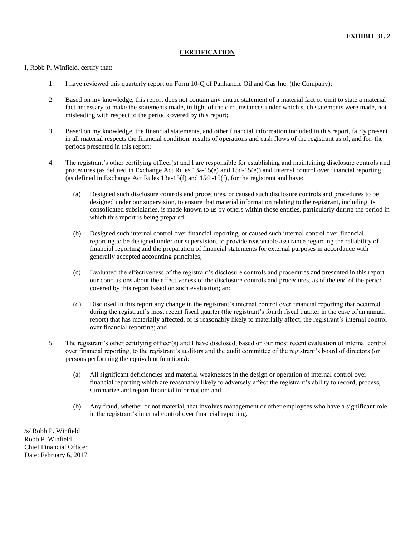# **CERTIFICATION**

### I, Robb P. Winfield, certify that:

- 1. I have reviewed this quarterly report on Form 10-Q of Panhandle Oil and Gas Inc. (the Company);
- 2. Based on my knowledge, this report does not contain any untrue statement of a material fact or omit to state a material fact necessary to make the statements made, in light of the circumstances under which such statements were made, not misleading with respect to the period covered by this report;
- 3. Based on my knowledge, the financial statements, and other financial information included in this report, fairly present in all material respects the financial condition, results of operations and cash flows of the registrant as of, and for, the periods presented in this report;
- 4. The registrant's other certifying officer(s) and I are responsible for establishing and maintaining disclosure controls and procedures (as defined in Exchange Act Rules 13a-15(e) and 15d-15(e)) and internal control over financial reporting (as defined in Exchange Act Rules 13a-15(f) and 15d -15(f), for the registrant and have:
	- (a) Designed such disclosure controls and procedures, or caused such disclosure controls and procedures to be designed under our supervision, to ensure that material information relating to the registrant, including its consolidated subsidiaries, is made known to us by others within those entities, particularly during the period in which this report is being prepared;
	- (b) Designed such internal control over financial reporting, or caused such internal control over financial reporting to be designed under our supervision, to provide reasonable assurance regarding the reliability of financial reporting and the preparation of financial statements for external purposes in accordance with generally accepted accounting principles;
	- (c) Evaluated the effectiveness of the registrant's disclosure controls and procedures and presented in this report our conclusions about the effectiveness of the disclosure controls and procedures, as of the end of the period covered by this report based on such evaluation; and
	- (d) Disclosed in this report any change in the registrant's internal control over financial reporting that occurred during the registrant's most recent fiscal quarter (the registrant's fourth fiscal quarter in the case of an annual report) that has materially affected, or is reasonably likely to materially affect, the registrant's internal control over financial reporting; and
- 5. The registrant's other certifying officer(s) and I have disclosed, based on our most recent evaluation of internal control over financial reporting, to the registrant's auditors and the audit committee of the registrant's board of directors (or persons performing the equivalent functions):
	- (a) All significant deficiencies and material weaknesses in the design or operation of internal control over financial reporting which are reasonably likely to adversely affect the registrant's ability to record, process, summarize and report financial information; and
	- (b) Any fraud, whether or not material, that involves management or other employees who have a significant role in the registrant's internal control over financial reporting.

/s/ Robb P. Winfield Robb P. Winfield Chief Financial Officer Date: February 6, 2017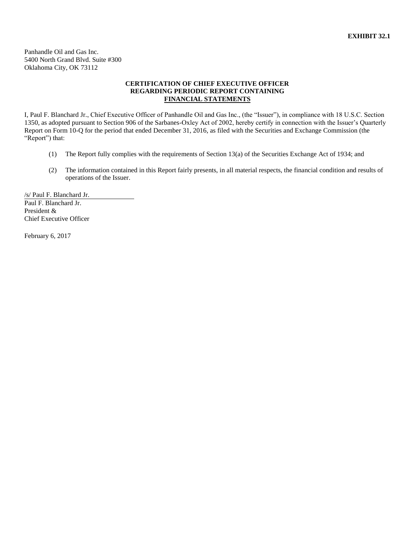Panhandle Oil and Gas Inc. 5400 North Grand Blvd. Suite #300 Oklahoma City, OK 73112

# **CERTIFICATION OF CHIEF EXECUTIVE OFFICER REGARDING PERIODIC REPORT CONTAINING FINANCIAL STATEMENTS**

I, Paul F. Blanchard Jr., Chief Executive Officer of Panhandle Oil and Gas Inc., (the "Issuer"), in compliance with 18 U.S.C. Section 1350, as adopted pursuant to Section 906 of the Sarbanes-Oxley Act of 2002, hereby certify in connection with the Issuer's Quarterly Report on Form 10-Q for the period that ended December 31, 2016, as filed with the Securities and Exchange Commission (the "Report") that:

- (1) The Report fully complies with the requirements of Section 13(a) of the Securities Exchange Act of 1934; and
- (2) The information contained in this Report fairly presents, in all material respects, the financial condition and results of operations of the Issuer.

/s/ Paul F. Blanchard Jr. Paul F. Blanchard Jr. President & Chief Executive Officer

February 6, 2017